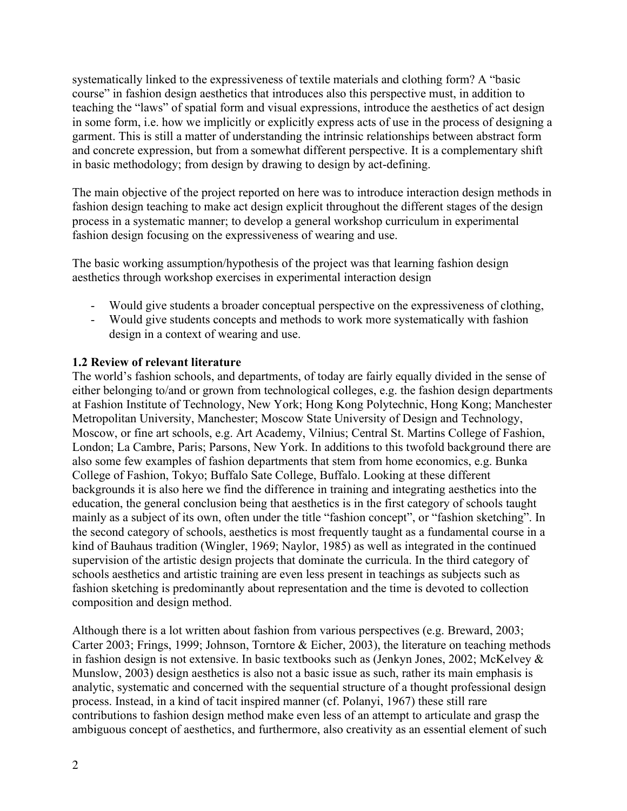systematically linked to the expressiveness of textile materials and clothing form? A "basic course" in fashion design aesthetics that introduces also this perspective must, in addition to teaching the "laws" of spatial form and visual expressions, introduce the aesthetics of act design in some form, i.e. how we implicitly or explicitly express acts of use in the process of designing a garment. This is still a matter of understanding the intrinsic relationships between abstract form and concrete expression, but from a somewhat different perspective. It is a complementary shift in basic methodology; from design by drawing to design by act-defining.

The main objective of the project reported on here was to introduce interaction design methods in fashion design teaching to make act design explicit throughout the different stages of the design process in a systematic manner; to develop a general workshop curriculum in experimental fashion design focusing on the expressiveness of wearing and use.

The basic working assumption/hypothesis of the project was that learning fashion design aesthetics through workshop exercises in experimental interaction design

- Would give students a broader conceptual perspective on the expressiveness of clothing,
- Would give students concepts and methods to work more systematically with fashion design in a context of wearing and use.

### **1.2 Review of relevant literature**

The world's fashion schools, and departments, of today are fairly equally divided in the sense of either belonging to/and or grown from technological colleges, e.g. the fashion design departments at Fashion Institute of Technology, New York; Hong Kong Polytechnic, Hong Kong; Manchester Metropolitan University, Manchester; Moscow State University of Design and Technology, Moscow, or fine art schools, e.g. Art Academy, Vilnius; Central St. Martins College of Fashion, London; La Cambre, Paris; Parsons, New York. In additions to this twofold background there are also some few examples of fashion departments that stem from home economics, e.g. Bunka College of Fashion, Tokyo; Buffalo Sate College, Buffalo. Looking at these different backgrounds it is also here we find the difference in training and integrating aesthetics into the education, the general conclusion being that aesthetics is in the first category of schools taught mainly as a subject of its own, often under the title "fashion concept", or "fashion sketching". In the second category of schools, aesthetics is most frequently taught as a fundamental course in a kind of Bauhaus tradition (Wingler, 1969; Naylor, 1985) as well as integrated in the continued supervision of the artistic design projects that dominate the curricula. In the third category of schools aesthetics and artistic training are even less present in teachings as subjects such as fashion sketching is predominantly about representation and the time is devoted to collection composition and design method.

Although there is a lot written about fashion from various perspectives (e.g. Breward, 2003; Carter 2003; Frings, 1999; Johnson, Torntore & Eicher, 2003), the literature on teaching methods in fashion design is not extensive. In basic textbooks such as (Jenkyn Jones, 2002; McKelvey & Munslow, 2003) design aesthetics is also not a basic issue as such, rather its main emphasis is analytic, systematic and concerned with the sequential structure of a thought professional design process. Instead, in a kind of tacit inspired manner (cf. Polanyi, 1967) these still rare contributions to fashion design method make even less of an attempt to articulate and grasp the ambiguous concept of aesthetics, and furthermore, also creativity as an essential element of such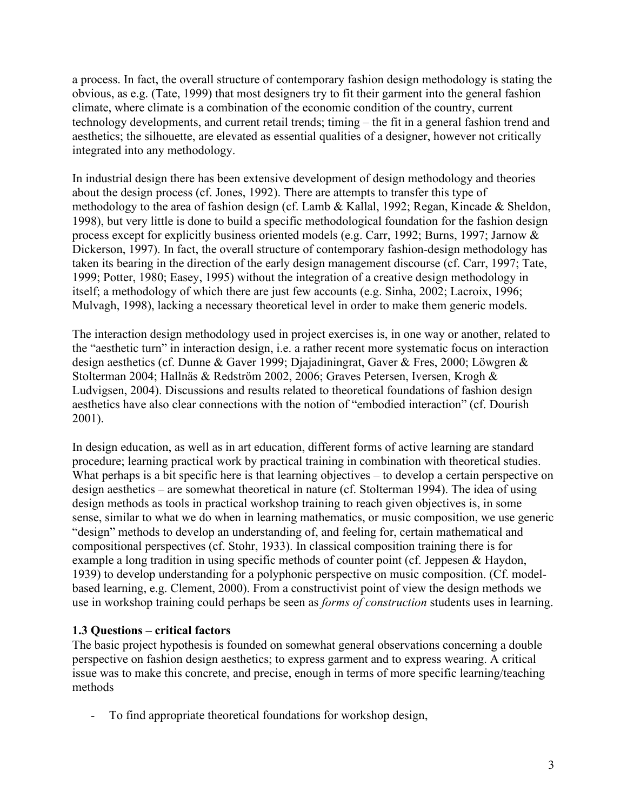a process. In fact, the overall structure of contemporary fashion design methodology is stating the obvious, as e.g. (Tate, 1999) that most designers try to fit their garment into the general fashion climate, where climate is a combination of the economic condition of the country, current technology developments, and current retail trends; timing – the fit in a general fashion trend and aesthetics; the silhouette, are elevated as essential qualities of a designer, however not critically integrated into any methodology.

In industrial design there has been extensive development of design methodology and theories about the design process (cf. Jones, 1992). There are attempts to transfer this type of methodology to the area of fashion design (cf. Lamb & Kallal, 1992; Regan, Kincade & Sheldon, 1998), but very little is done to build a specific methodological foundation for the fashion design process except for explicitly business oriented models (e.g. Carr, 1992; Burns, 1997; Jarnow & Dickerson, 1997). In fact, the overall structure of contemporary fashion-design methodology has taken its bearing in the direction of the early design management discourse (cf. Carr, 1997; Tate, 1999; Potter, 1980; Easey, 1995) without the integration of a creative design methodology in itself; a methodology of which there are just few accounts (e.g. Sinha, 2002; Lacroix, 1996; Mulvagh, 1998), lacking a necessary theoretical level in order to make them generic models.

The interaction design methodology used in project exercises is, in one way or another, related to the "aesthetic turn" in interaction design, i.e. a rather recent more systematic focus on interaction design aesthetics (cf. Dunne & Gaver 1999; Djajadiningrat, Gaver & Fres, 2000; Löwgren & Stolterman 2004; Hallnäs & Redström 2002, 2006; Graves Petersen, Iversen, Krogh & Ludvigsen, 2004). Discussions and results related to theoretical foundations of fashion design aesthetics have also clear connections with the notion of "embodied interaction" (cf. Dourish 2001).

In design education, as well as in art education, different forms of active learning are standard procedure; learning practical work by practical training in combination with theoretical studies. What perhaps is a bit specific here is that learning objectives – to develop a certain perspective on design aesthetics – are somewhat theoretical in nature (cf. Stolterman 1994). The idea of using design methods as tools in practical workshop training to reach given objectives is, in some sense, similar to what we do when in learning mathematics, or music composition, we use generic "design" methods to develop an understanding of, and feeling for, certain mathematical and compositional perspectives (cf. Stohr, 1933). In classical composition training there is for example a long tradition in using specific methods of counter point (cf. Jeppesen & Haydon, 1939) to develop understanding for a polyphonic perspective on music composition. (Cf. modelbased learning, e.g. Clement, 2000). From a constructivist point of view the design methods we use in workshop training could perhaps be seen as *forms of construction* students uses in learning.

## **1.3 Questions – critical factors**

The basic project hypothesis is founded on somewhat general observations concerning a double perspective on fashion design aesthetics; to express garment and to express wearing. A critical issue was to make this concrete, and precise, enough in terms of more specific learning/teaching methods

- To find appropriate theoretical foundations for workshop design,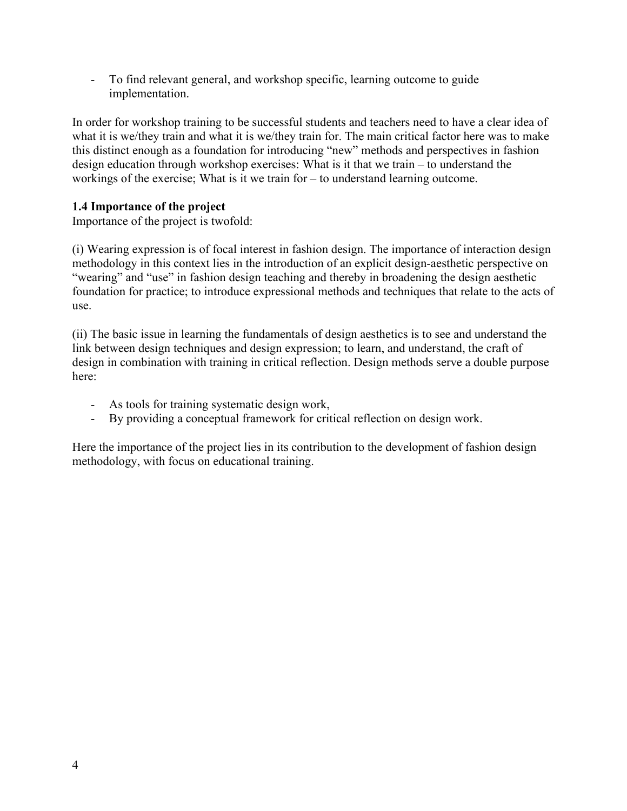- To find relevant general, and workshop specific, learning outcome to guide implementation.

In order for workshop training to be successful students and teachers need to have a clear idea of what it is we/they train and what it is we/they train for. The main critical factor here was to make this distinct enough as a foundation for introducing "new" methods and perspectives in fashion design education through workshop exercises: What is it that we train – to understand the workings of the exercise; What is it we train for – to understand learning outcome.

## **1.4 Importance of the project**

Importance of the project is twofold:

(i) Wearing expression is of focal interest in fashion design. The importance of interaction design methodology in this context lies in the introduction of an explicit design-aesthetic perspective on "wearing" and "use" in fashion design teaching and thereby in broadening the design aesthetic foundation for practice; to introduce expressional methods and techniques that relate to the acts of use.

(ii) The basic issue in learning the fundamentals of design aesthetics is to see and understand the link between design techniques and design expression; to learn, and understand, the craft of design in combination with training in critical reflection. Design methods serve a double purpose here:

- As tools for training systematic design work,
- By providing a conceptual framework for critical reflection on design work.

Here the importance of the project lies in its contribution to the development of fashion design methodology, with focus on educational training.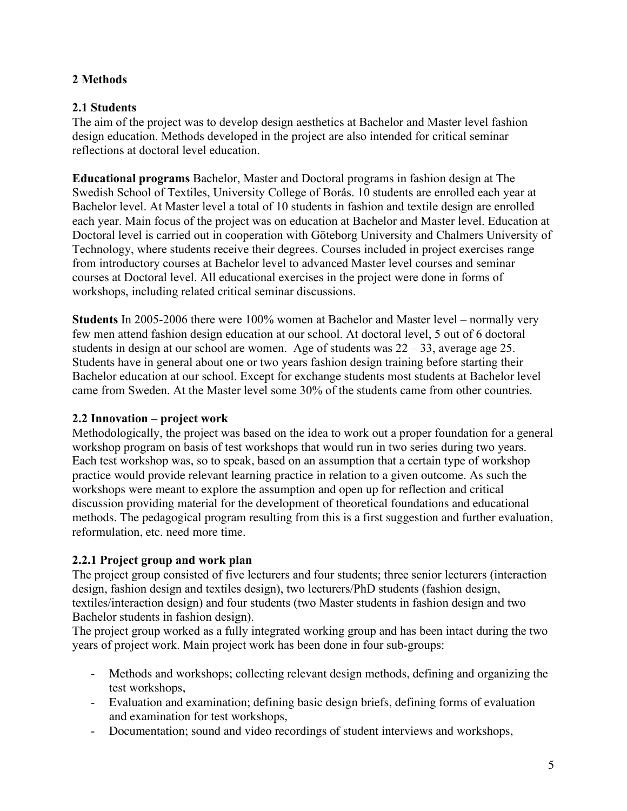# **2 Methods**

# **2.1 Students**

The aim of the project was to develop design aesthetics at Bachelor and Master level fashion design education. Methods developed in the project are also intended for critical seminar reflections at doctoral level education.

**Educational programs** Bachelor, Master and Doctoral programs in fashion design at The Swedish School of Textiles, University College of Borås. 10 students are enrolled each year at Bachelor level. At Master level a total of 10 students in fashion and textile design are enrolled each year. Main focus of the project was on education at Bachelor and Master level. Education at Doctoral level is carried out in cooperation with Göteborg University and Chalmers University of Technology, where students receive their degrees. Courses included in project exercises range from introductory courses at Bachelor level to advanced Master level courses and seminar courses at Doctoral level. All educational exercises in the project were done in forms of workshops, including related critical seminar discussions.

**Students** In 2005-2006 there were 100% women at Bachelor and Master level – normally very few men attend fashion design education at our school. At doctoral level, 5 out of 6 doctoral students in design at our school are women. Age of students was  $22 - 33$ , average age 25. Students have in general about one or two years fashion design training before starting their Bachelor education at our school. Except for exchange students most students at Bachelor level came from Sweden. At the Master level some 30% of the students came from other countries.

## **2.2 Innovation – project work**

Methodologically, the project was based on the idea to work out a proper foundation for a general workshop program on basis of test workshops that would run in two series during two years. Each test workshop was, so to speak, based on an assumption that a certain type of workshop practice would provide relevant learning practice in relation to a given outcome. As such the workshops were meant to explore the assumption and open up for reflection and critical discussion providing material for the development of theoretical foundations and educational methods. The pedagogical program resulting from this is a first suggestion and further evaluation, reformulation, etc. need more time.

# **2.2.1 Project group and work plan**

The project group consisted of five lecturers and four students; three senior lecturers (interaction design, fashion design and textiles design), two lecturers/PhD students (fashion design, textiles/interaction design) and four students (two Master students in fashion design and two Bachelor students in fashion design).

The project group worked as a fully integrated working group and has been intact during the two years of project work. Main project work has been done in four sub-groups:

- Methods and workshops; collecting relevant design methods, defining and organizing the test workshops,
- Evaluation and examination; defining basic design briefs, defining forms of evaluation and examination for test workshops,
- Documentation; sound and video recordings of student interviews and workshops,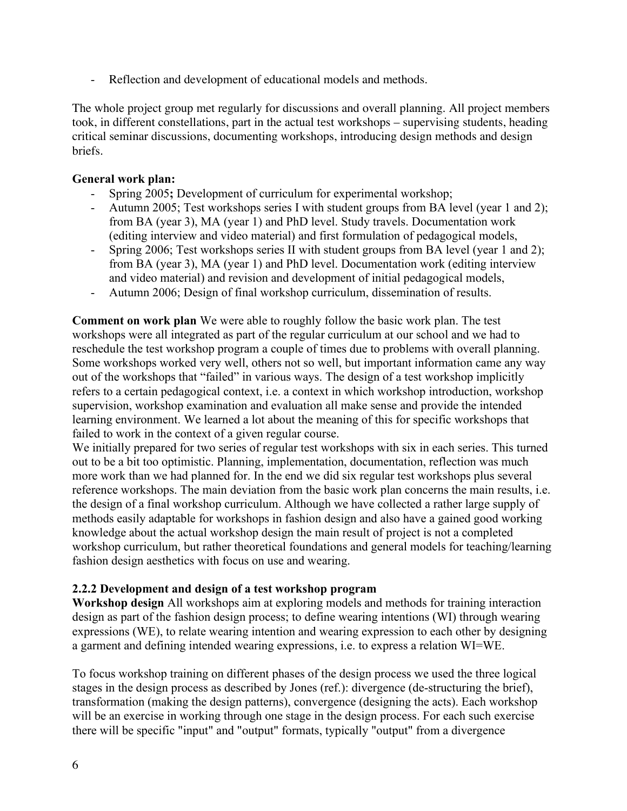Reflection and development of educational models and methods.

The whole project group met regularly for discussions and overall planning. All project members took, in different constellations, part in the actual test workshops – supervising students, heading critical seminar discussions, documenting workshops, introducing design methods and design briefs.

### **General work plan:**

- Spring 2005**;** Development of curriculum for experimental workshop;
- Autumn 2005; Test workshops series I with student groups from BA level (year 1 and 2); from BA (year 3), MA (year 1) and PhD level. Study travels. Documentation work (editing interview and video material) and first formulation of pedagogical models,
- Spring 2006; Test workshops series II with student groups from BA level (year 1 and 2); from BA (year 3), MA (year 1) and PhD level. Documentation work (editing interview and video material) and revision and development of initial pedagogical models,
- Autumn 2006; Design of final workshop curriculum, dissemination of results.

**Comment on work plan** We were able to roughly follow the basic work plan. The test workshops were all integrated as part of the regular curriculum at our school and we had to reschedule the test workshop program a couple of times due to problems with overall planning. Some workshops worked very well, others not so well, but important information came any way out of the workshops that "failed" in various ways. The design of a test workshop implicitly refers to a certain pedagogical context, i.e. a context in which workshop introduction, workshop supervision, workshop examination and evaluation all make sense and provide the intended learning environment. We learned a lot about the meaning of this for specific workshops that failed to work in the context of a given regular course.

We initially prepared for two series of regular test workshops with six in each series. This turned out to be a bit too optimistic. Planning, implementation, documentation, reflection was much more work than we had planned for. In the end we did six regular test workshops plus several reference workshops. The main deviation from the basic work plan concerns the main results, i.e. the design of a final workshop curriculum. Although we have collected a rather large supply of methods easily adaptable for workshops in fashion design and also have a gained good working knowledge about the actual workshop design the main result of project is not a completed workshop curriculum, but rather theoretical foundations and general models for teaching/learning fashion design aesthetics with focus on use and wearing.

## **2.2.2 Development and design of a test workshop program**

**Workshop design** All workshops aim at exploring models and methods for training interaction design as part of the fashion design process; to define wearing intentions (WI) through wearing expressions (WE), to relate wearing intention and wearing expression to each other by designing a garment and defining intended wearing expressions, i.e. to express a relation WI=WE.

To focus workshop training on different phases of the design process we used the three logical stages in the design process as described by Jones (ref.): divergence (de-structuring the brief), transformation (making the design patterns), convergence (designing the acts). Each workshop will be an exercise in working through one stage in the design process. For each such exercise there will be specific "input" and "output" formats, typically "output" from a divergence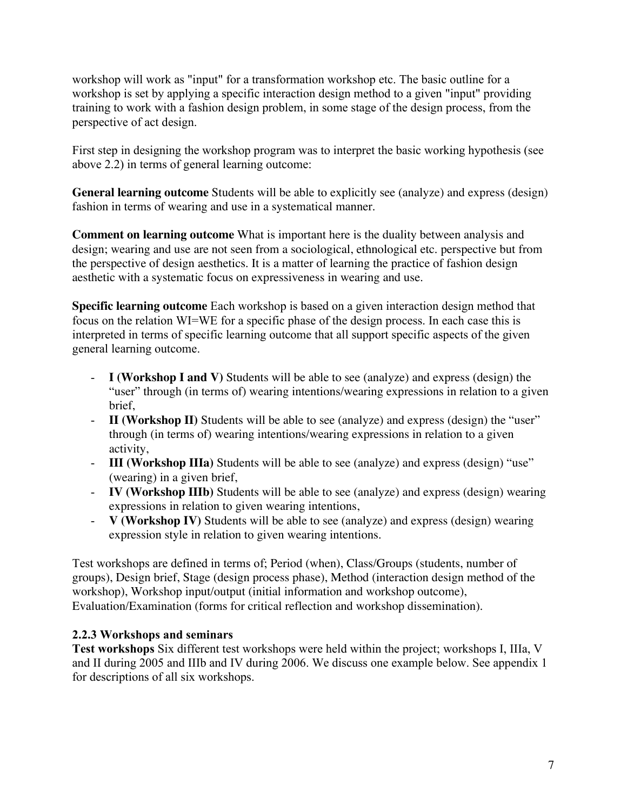workshop will work as "input" for a transformation workshop etc. The basic outline for a workshop is set by applying a specific interaction design method to a given "input" providing training to work with a fashion design problem, in some stage of the design process, from the perspective of act design.

First step in designing the workshop program was to interpret the basic working hypothesis (see above 2.2) in terms of general learning outcome:

**General learning outcome** Students will be able to explicitly see (analyze) and express (design) fashion in terms of wearing and use in a systematical manner.

**Comment on learning outcome** What is important here is the duality between analysis and design; wearing and use are not seen from a sociological, ethnological etc. perspective but from the perspective of design aesthetics. It is a matter of learning the practice of fashion design aesthetic with a systematic focus on expressiveness in wearing and use.

**Specific learning outcome** Each workshop is based on a given interaction design method that focus on the relation WI=WE for a specific phase of the design process. In each case this is interpreted in terms of specific learning outcome that all support specific aspects of the given general learning outcome.

- **I** (Workshop I and V) Students will be able to see (analyze) and express (design) the "user" through (in terms of) wearing intentions/wearing expressions in relation to a given brief,
- **II (Workshop II)** Students will be able to see (analyze) and express (design) the "user" through (in terms of) wearing intentions/wearing expressions in relation to a given activity,
- **III (Workshop IIIa)** Students will be able to see (analyze) and express (design) "use" (wearing) in a given brief,
- **IV (Workshop IIIb)** Students will be able to see (analyze) and express (design) wearing expressions in relation to given wearing intentions,
- **V (Workshop IV)** Students will be able to see (analyze) and express (design) wearing expression style in relation to given wearing intentions.

Test workshops are defined in terms of; Period (when), Class/Groups (students, number of groups), Design brief, Stage (design process phase), Method (interaction design method of the workshop), Workshop input/output (initial information and workshop outcome), Evaluation/Examination (forms for critical reflection and workshop dissemination).

# **2.2.3 Workshops and seminars**

**Test workshops** Six different test workshops were held within the project; workshops I, IIIa, V and II during 2005 and IIIb and IV during 2006. We discuss one example below. See appendix 1 for descriptions of all six workshops.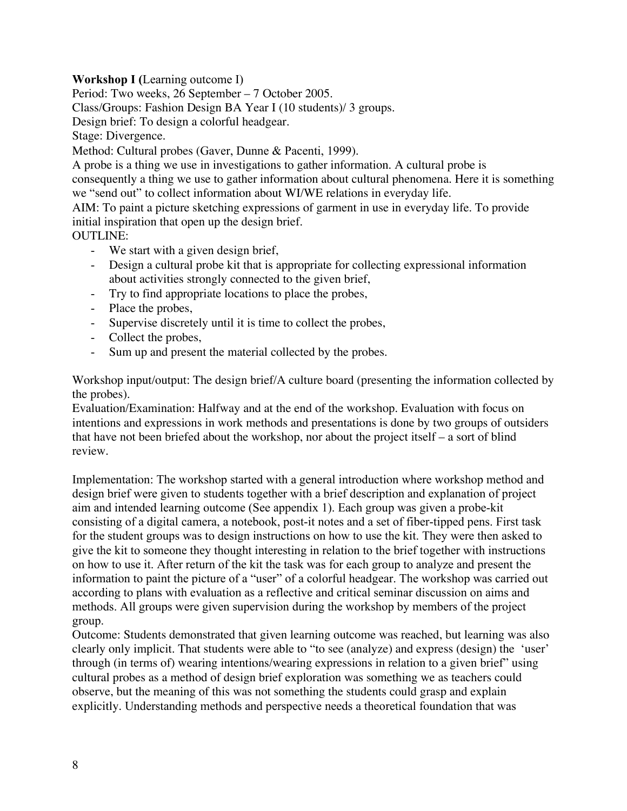## **Workshop I (**Learning outcome I)

Period: Two weeks, 26 September – 7 October 2005.

Class/Groups: Fashion Design BA Year I (10 students)/ 3 groups.

Design brief: To design a colorful headgear.

Stage: Divergence.

Method: Cultural probes (Gaver, Dunne & Pacenti, 1999).

A probe is a thing we use in investigations to gather information. A cultural probe is consequently a thing we use to gather information about cultural phenomena. Here it is something we "send out" to collect information about WI/WE relations in everyday life.

AIM: To paint a picture sketching expressions of garment in use in everyday life. To provide initial inspiration that open up the design brief.

## OUTLINE:

- We start with a given design brief,
- Design a cultural probe kit that is appropriate for collecting expressional information about activities strongly connected to the given brief,
- Try to find appropriate locations to place the probes,
- Place the probes,
- Supervise discretely until it is time to collect the probes,
- Collect the probes,
- Sum up and present the material collected by the probes.

Workshop input/output: The design brief/A culture board (presenting the information collected by the probes).

Evaluation/Examination: Halfway and at the end of the workshop. Evaluation with focus on intentions and expressions in work methods and presentations is done by two groups of outsiders that have not been briefed about the workshop, nor about the project itself – a sort of blind review.

Implementation: The workshop started with a general introduction where workshop method and design brief were given to students together with a brief description and explanation of project aim and intended learning outcome (See appendix 1). Each group was given a probe-kit consisting of a digital camera, a notebook, post-it notes and a set of fiber-tipped pens. First task for the student groups was to design instructions on how to use the kit. They were then asked to give the kit to someone they thought interesting in relation to the brief together with instructions on how to use it. After return of the kit the task was for each group to analyze and present the information to paint the picture of a "user" of a colorful headgear. The workshop was carried out according to plans with evaluation as a reflective and critical seminar discussion on aims and methods. All groups were given supervision during the workshop by members of the project group.

Outcome: Students demonstrated that given learning outcome was reached, but learning was also clearly only implicit. That students were able to "to see (analyze) and express (design) the 'user' through (in terms of) wearing intentions/wearing expressions in relation to a given brief" using cultural probes as a method of design brief exploration was something we as teachers could observe, but the meaning of this was not something the students could grasp and explain explicitly. Understanding methods and perspective needs a theoretical foundation that was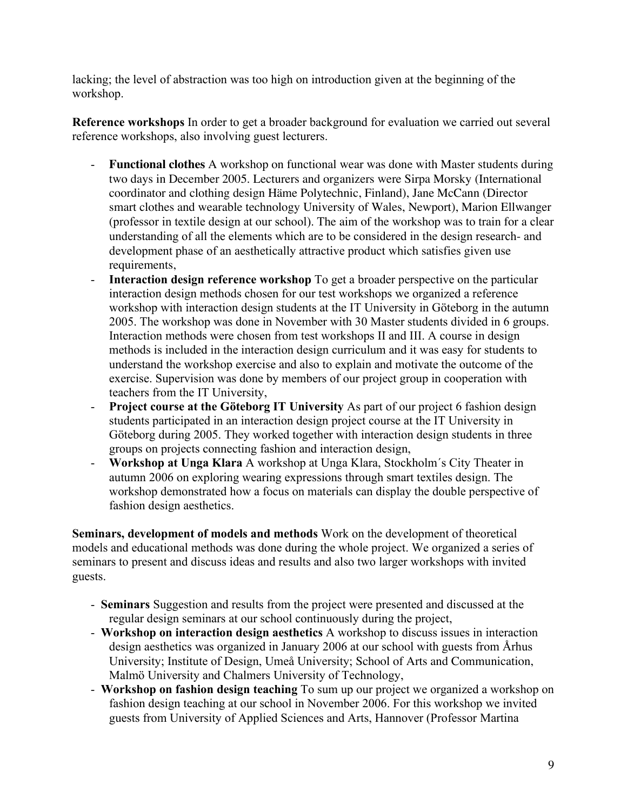lacking; the level of abstraction was too high on introduction given at the beginning of the workshop.

**Reference workshops** In order to get a broader background for evaluation we carried out several reference workshops, also involving guest lecturers.

- **Functional clothes** A workshop on functional wear was done with Master students during two days in December 2005. Lecturers and organizers were Sirpa Morsky (International coordinator and clothing design Häme Polytechnic, Finland), Jane McCann (Director smart clothes and wearable technology University of Wales, Newport), Marion Ellwanger (professor in textile design at our school). The aim of the workshop was to train for a clear understanding of all the elements which are to be considered in the design research- and development phase of an aesthetically attractive product which satisfies given use requirements,
- **Interaction design reference workshop** To get a broader perspective on the particular interaction design methods chosen for our test workshops we organized a reference workshop with interaction design students at the IT University in Göteborg in the autumn 2005. The workshop was done in November with 30 Master students divided in 6 groups. Interaction methods were chosen from test workshops II and III. A course in design methods is included in the interaction design curriculum and it was easy for students to understand the workshop exercise and also to explain and motivate the outcome of the exercise. Supervision was done by members of our project group in cooperation with teachers from the IT University,
- **Project course at the Göteborg IT University** As part of our project 6 fashion design students participated in an interaction design project course at the IT University in Göteborg during 2005. They worked together with interaction design students in three groups on projects connecting fashion and interaction design,
- **Workshop at Unga Klara** A workshop at Unga Klara, Stockholm´s City Theater in autumn 2006 on exploring wearing expressions through smart textiles design. The workshop demonstrated how a focus on materials can display the double perspective of fashion design aesthetics.

**Seminars, development of models and methods** Work on the development of theoretical models and educational methods was done during the whole project. We organized a series of seminars to present and discuss ideas and results and also two larger workshops with invited guests.

- **Seminars** Suggestion and results from the project were presented and discussed at the regular design seminars at our school continuously during the project,
- **Workshop on interaction design aesthetics** A workshop to discuss issues in interaction design aesthetics was organized in January 2006 at our school with guests from Århus University; Institute of Design, Umeå University; School of Arts and Communication, Malmö University and Chalmers University of Technology,
- **Workshop on fashion design teaching** To sum up our project we organized a workshop on fashion design teaching at our school in November 2006. For this workshop we invited guests from University of Applied Sciences and Arts, Hannover (Professor Martina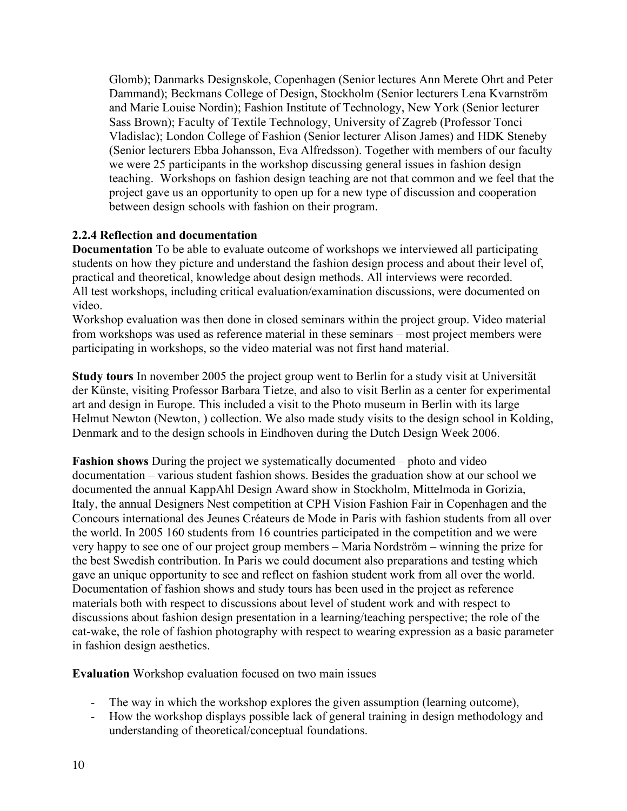Glomb); Danmarks Designskole, Copenhagen (Senior lectures Ann Merete Ohrt and Peter Dammand); Beckmans College of Design, Stockholm (Senior lecturers Lena Kvarnström and Marie Louise Nordin); Fashion Institute of Technology, New York (Senior lecturer Sass Brown); Faculty of Textile Technology, University of Zagreb (Professor Tonci Vladislac); London College of Fashion (Senior lecturer Alison James) and HDK Steneby (Senior lecturers Ebba Johansson, Eva Alfredsson). Together with members of our faculty we were 25 participants in the workshop discussing general issues in fashion design teaching. Workshops on fashion design teaching are not that common and we feel that the project gave us an opportunity to open up for a new type of discussion and cooperation between design schools with fashion on their program.

## **2.2.4 Reflection and documentation**

**Documentation** To be able to evaluate outcome of workshops we interviewed all participating students on how they picture and understand the fashion design process and about their level of, practical and theoretical, knowledge about design methods. All interviews were recorded. All test workshops, including critical evaluation/examination discussions, were documented on video.

Workshop evaluation was then done in closed seminars within the project group. Video material from workshops was used as reference material in these seminars – most project members were participating in workshops, so the video material was not first hand material.

**Study tours** In november 2005 the project group went to Berlin for a study visit at Universität der Künste, visiting Professor Barbara Tietze, and also to visit Berlin as a center for experimental art and design in Europe. This included a visit to the Photo museum in Berlin with its large Helmut Newton (Newton, ) collection. We also made study visits to the design school in Kolding, Denmark and to the design schools in Eindhoven during the Dutch Design Week 2006.

**Fashion shows** During the project we systematically documented – photo and video documentation – various student fashion shows. Besides the graduation show at our school we documented the annual KappAhl Design Award show in Stockholm, Mittelmoda in Gorizia, Italy, the annual Designers Nest competition at CPH Vision Fashion Fair in Copenhagen and the Concours international des Jeunes Créateurs de Mode in Paris with fashion students from all over the world. In 2005 160 students from 16 countries participated in the competition and we were very happy to see one of our project group members – Maria Nordström – winning the prize for the best Swedish contribution. In Paris we could document also preparations and testing which gave an unique opportunity to see and reflect on fashion student work from all over the world. Documentation of fashion shows and study tours has been used in the project as reference materials both with respect to discussions about level of student work and with respect to discussions about fashion design presentation in a learning/teaching perspective; the role of the cat-wake, the role of fashion photography with respect to wearing expression as a basic parameter in fashion design aesthetics.

**Evaluation** Workshop evaluation focused on two main issues

- The way in which the workshop explores the given assumption (learning outcome),
- How the workshop displays possible lack of general training in design methodology and understanding of theoretical/conceptual foundations.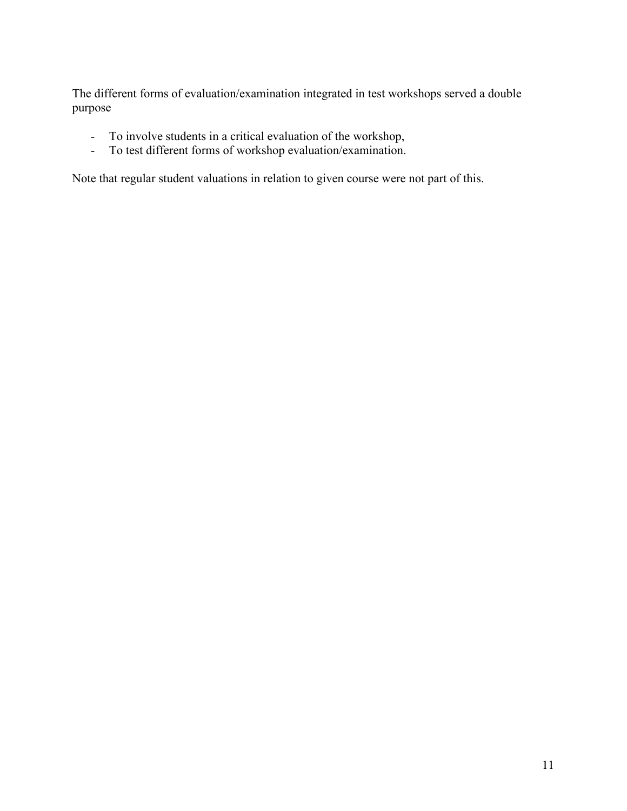The different forms of evaluation/examination integrated in test workshops served a double purpose

- To involve students in a critical evaluation of the workshop,
- To test different forms of workshop evaluation/examination.

Note that regular student valuations in relation to given course were not part of this.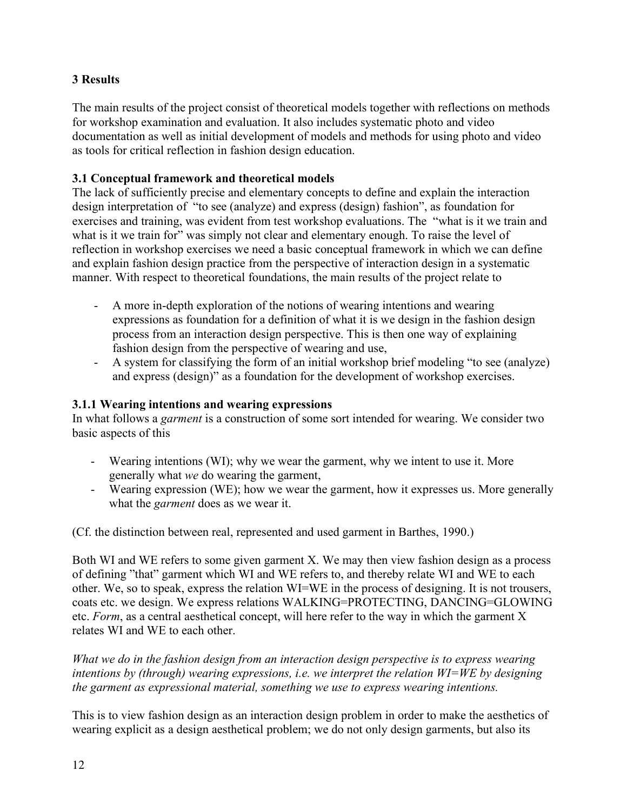# **3 Results**

The main results of the project consist of theoretical models together with reflections on methods for workshop examination and evaluation. It also includes systematic photo and video documentation as well as initial development of models and methods for using photo and video as tools for critical reflection in fashion design education.

## **3.1 Conceptual framework and theoretical models**

The lack of sufficiently precise and elementary concepts to define and explain the interaction design interpretation of "to see (analyze) and express (design) fashion", as foundation for exercises and training, was evident from test workshop evaluations. The "what is it we train and what is it we train for" was simply not clear and elementary enough. To raise the level of reflection in workshop exercises we need a basic conceptual framework in which we can define and explain fashion design practice from the perspective of interaction design in a systematic manner. With respect to theoretical foundations, the main results of the project relate to

- A more in-depth exploration of the notions of wearing intentions and wearing expressions as foundation for a definition of what it is we design in the fashion design process from an interaction design perspective. This is then one way of explaining fashion design from the perspective of wearing and use,
- A system for classifying the form of an initial workshop brief modeling "to see (analyze) and express (design)" as a foundation for the development of workshop exercises.

## **3.1.1 Wearing intentions and wearing expressions**

In what follows a *garment* is a construction of some sort intended for wearing. We consider two basic aspects of this

- Wearing intentions (WI); why we wear the garment, why we intent to use it. More generally what *we* do wearing the garment,
- Wearing expression (WE); how we wear the garment, how it expresses us. More generally what the *garment* does as we wear it.

(Cf. the distinction between real, represented and used garment in Barthes, 1990.)

Both WI and WE refers to some given garment X. We may then view fashion design as a process of defining "that" garment which WI and WE refers to, and thereby relate WI and WE to each other. We, so to speak, express the relation WI=WE in the process of designing. It is not trousers, coats etc. we design. We express relations WALKING=PROTECTING, DANCING=GLOWING etc. *Form*, as a central aesthetical concept, will here refer to the way in which the garment X relates WI and WE to each other.

*What we do in the fashion design from an interaction design perspective is to express wearing intentions by (through) wearing expressions, i.e. we interpret the relation WI=WE by designing the garment as expressional material, something we use to express wearing intentions.* 

This is to view fashion design as an interaction design problem in order to make the aesthetics of wearing explicit as a design aesthetical problem; we do not only design garments, but also its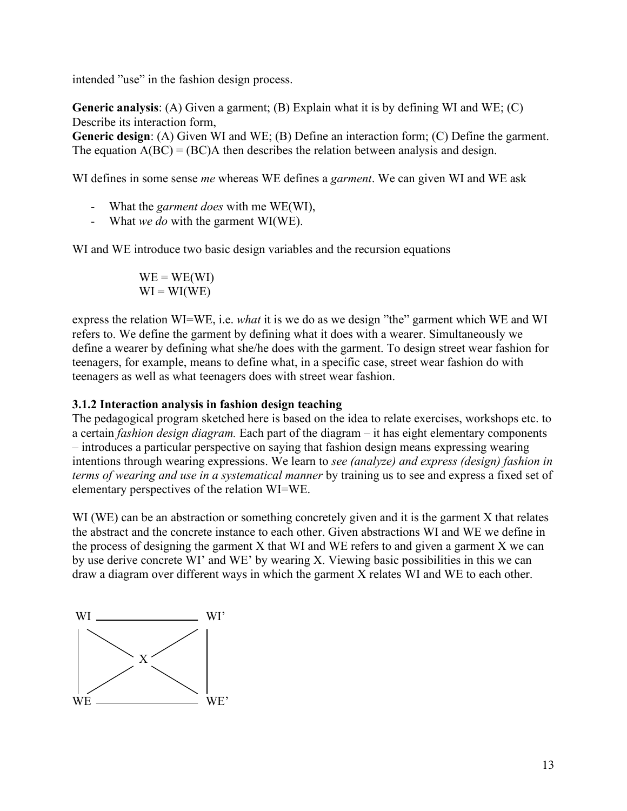intended "use" in the fashion design process.

**Generic analysis**: (A) Given a garment; (B) Explain what it is by defining WI and WE; (C) Describe its interaction form,

**Generic design**: (A) Given WI and WE; (B) Define an interaction form; (C) Define the garment. The equation  $A(BC) = (BC)A$  then describes the relation between analysis and design.

WI defines in some sense *me* whereas WE defines a *garment*. We can given WI and WE ask

- What the *garment does* with me WE(WI),
- What *we do* with the garment WI(WE).

WI and WE introduce two basic design variables and the recursion equations

 $WE = WE(WI)$  $WI = WI(WE)$ 

express the relation WI=WE, i.e. *what* it is we do as we design "the" garment which WE and WI refers to. We define the garment by defining what it does with a wearer. Simultaneously we define a wearer by defining what she/he does with the garment. To design street wear fashion for teenagers, for example, means to define what, in a specific case, street wear fashion do with teenagers as well as what teenagers does with street wear fashion.

#### **3.1.2 Interaction analysis in fashion design teaching**

The pedagogical program sketched here is based on the idea to relate exercises, workshops etc. to a certain *fashion design diagram.* Each part of the diagram – it has eight elementary components – introduces a particular perspective on saying that fashion design means expressing wearing intentions through wearing expressions. We learn to *see (analyze) and express (design) fashion in terms of wearing and use in a systematical manner* by training us to see and express a fixed set of elementary perspectives of the relation WI=WE.

WI (WE) can be an abstraction or something concretely given and it is the garment X that relates the abstract and the concrete instance to each other. Given abstractions WI and WE we define in the process of designing the garment X that WI and WE refers to and given a garment X we can by use derive concrete WI' and WE' by wearing X. Viewing basic possibilities in this we can draw a diagram over different ways in which the garment X relates WI and WE to each other.

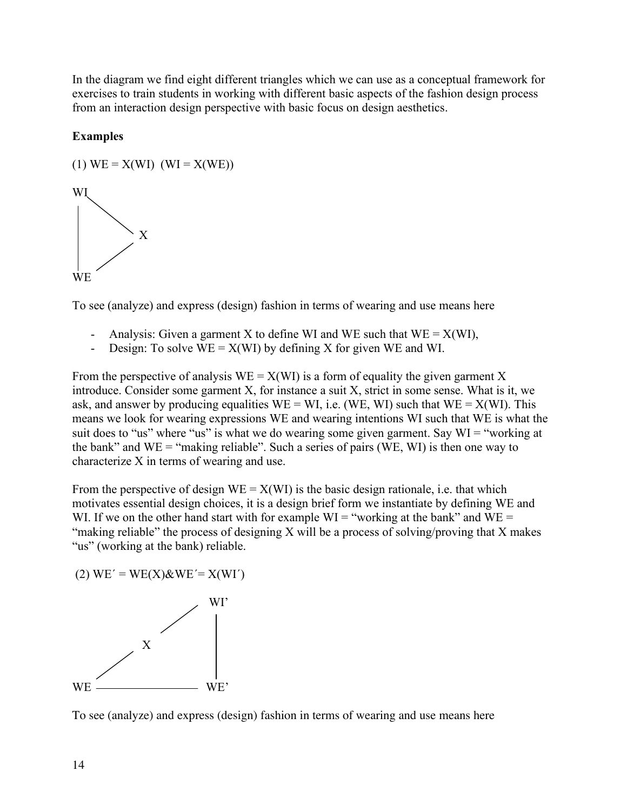In the diagram we find eight different triangles which we can use as a conceptual framework for exercises to train students in working with different basic aspects of the fashion design process from an interaction design perspective with basic focus on design aesthetics.

## **Examples**

(1) WE = X(WI) (WI = X(WE))

WI X **WE** 

To see (analyze) and express (design) fashion in terms of wearing and use means here

- Analysis: Given a garment X to define WI and WE such that  $WE = X(WI)$ ,
- Design: To solve  $WE = X(WI)$  by defining X for given WE and WI.

From the perspective of analysis  $WE = X(WI)$  is a form of equality the given garment X introduce. Consider some garment X, for instance a suit X, strict in some sense. What is it, we ask, and answer by producing equalities  $WE = WI$ , i.e. (WE, WI) such that  $WE = X(WI)$ . This means we look for wearing expressions WE and wearing intentions WI such that WE is what the suit does to "us" where "us" is what we do wearing some given garment. Say WI = "working at the bank" and  $WE = "making reliable"$ . Such a series of pairs (WE, WI) is then one way to characterize X in terms of wearing and use.

From the perspective of design  $WE = X(WI)$  is the basic design rationale, i.e. that which motivates essential design choices, it is a design brief form we instantiate by defining WE and WI. If we on the other hand start with for example  $WI = "working at the bank"$  and  $WE =$ "making reliable" the process of designing X will be a process of solving/proving that X makes "us" (working at the bank) reliable.

$$
(2) WE' = WE(X) \& WE' = X(WI')
$$



To see (analyze) and express (design) fashion in terms of wearing and use means here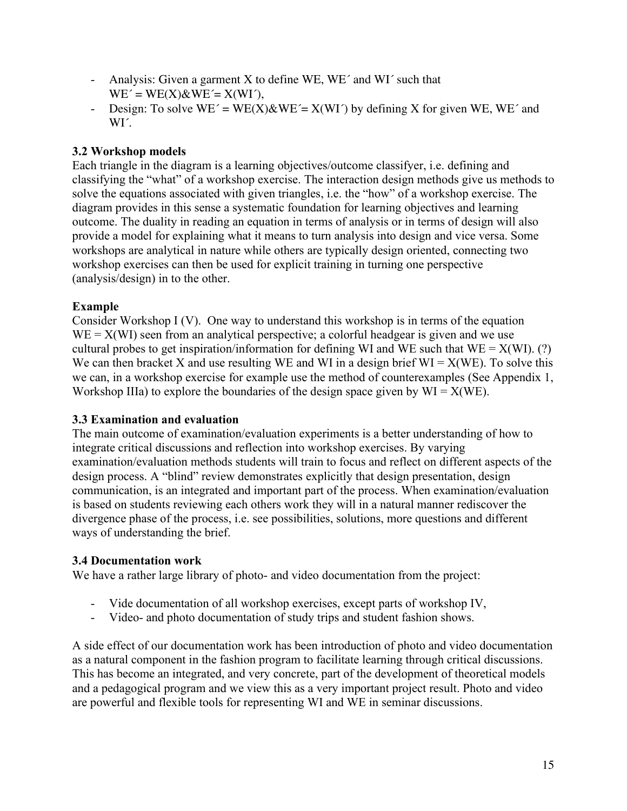- Analysis: Given a garment X to define WE, WE´ and WI´ such that  $WE' = WE(X) \& WE' = X(WI')$ ,
- Design: To solve  $WE' = WE(X)\&WE' = X(WI')$  by defining X for given WE, WE' and WI<sup>'</sup>.

# **3.2 Workshop models**

Each triangle in the diagram is a learning objectives/outcome classifyer, i.e. defining and classifying the "what" of a workshop exercise. The interaction design methods give us methods to solve the equations associated with given triangles, i.e. the "how" of a workshop exercise. The diagram provides in this sense a systematic foundation for learning objectives and learning outcome. The duality in reading an equation in terms of analysis or in terms of design will also provide a model for explaining what it means to turn analysis into design and vice versa. Some workshops are analytical in nature while others are typically design oriented, connecting two workshop exercises can then be used for explicit training in turning one perspective (analysis/design) in to the other.

# **Example**

Consider Workshop I (V). One way to understand this workshop is in terms of the equation  $WE = X(WI)$  seen from an analytical perspective; a colorful headgear is given and we use cultural probes to get inspiration/information for defining WI and WE such that  $WE = X(WI)$ . (?) We can then bracket X and use resulting WE and WI in a design brief  $WI = X(WE)$ . To solve this we can, in a workshop exercise for example use the method of counterexamples (See Appendix 1, Workshop IIIa) to explore the boundaries of the design space given by  $WI = X(WE)$ .

# **3.3 Examination and evaluation**

The main outcome of examination/evaluation experiments is a better understanding of how to integrate critical discussions and reflection into workshop exercises. By varying examination/evaluation methods students will train to focus and reflect on different aspects of the design process. A "blind" review demonstrates explicitly that design presentation, design communication, is an integrated and important part of the process. When examination/evaluation is based on students reviewing each others work they will in a natural manner rediscover the divergence phase of the process, i.e. see possibilities, solutions, more questions and different ways of understanding the brief.

## **3.4 Documentation work**

We have a rather large library of photo- and video documentation from the project:

- Vide documentation of all workshop exercises, except parts of workshop IV,
- Video- and photo documentation of study trips and student fashion shows.

A side effect of our documentation work has been introduction of photo and video documentation as a natural component in the fashion program to facilitate learning through critical discussions. This has become an integrated, and very concrete, part of the development of theoretical models and a pedagogical program and we view this as a very important project result. Photo and video are powerful and flexible tools for representing WI and WE in seminar discussions.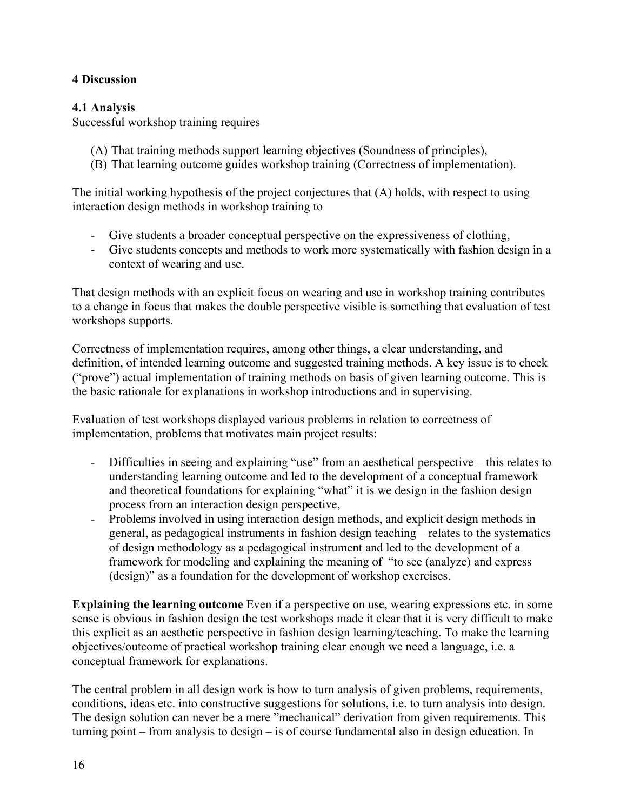## **4 Discussion**

## **4.1 Analysis**

Successful workshop training requires

- (A) That training methods support learning objectives (Soundness of principles),
- (B) That learning outcome guides workshop training (Correctness of implementation).

The initial working hypothesis of the project conjectures that (A) holds, with respect to using interaction design methods in workshop training to

- Give students a broader conceptual perspective on the expressiveness of clothing,
- Give students concepts and methods to work more systematically with fashion design in a context of wearing and use.

That design methods with an explicit focus on wearing and use in workshop training contributes to a change in focus that makes the double perspective visible is something that evaluation of test workshops supports.

Correctness of implementation requires, among other things, a clear understanding, and definition, of intended learning outcome and suggested training methods. A key issue is to check ("prove") actual implementation of training methods on basis of given learning outcome. This is the basic rationale for explanations in workshop introductions and in supervising.

Evaluation of test workshops displayed various problems in relation to correctness of implementation, problems that motivates main project results:

- Difficulties in seeing and explaining "use" from an aesthetical perspective this relates to understanding learning outcome and led to the development of a conceptual framework and theoretical foundations for explaining "what" it is we design in the fashion design process from an interaction design perspective,
- Problems involved in using interaction design methods, and explicit design methods in general, as pedagogical instruments in fashion design teaching – relates to the systematics of design methodology as a pedagogical instrument and led to the development of a framework for modeling and explaining the meaning of "to see (analyze) and express (design)" as a foundation for the development of workshop exercises.

**Explaining the learning outcome** Even if a perspective on use, wearing expressions etc. in some sense is obvious in fashion design the test workshops made it clear that it is very difficult to make this explicit as an aesthetic perspective in fashion design learning/teaching. To make the learning objectives/outcome of practical workshop training clear enough we need a language, i.e. a conceptual framework for explanations.

The central problem in all design work is how to turn analysis of given problems, requirements, conditions, ideas etc. into constructive suggestions for solutions, i.e. to turn analysis into design. The design solution can never be a mere "mechanical" derivation from given requirements. This turning point – from analysis to design – is of course fundamental also in design education. In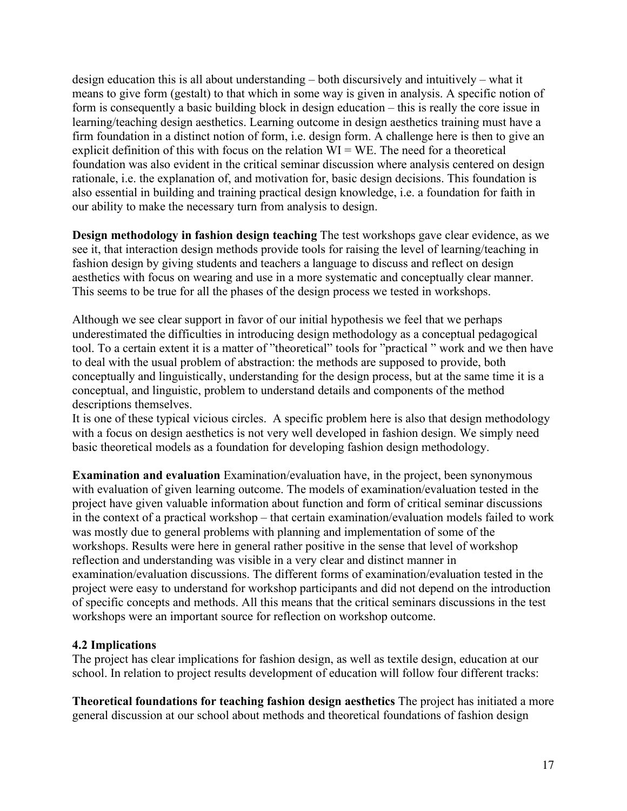design education this is all about understanding – both discursively and intuitively – what it means to give form (gestalt) to that which in some way is given in analysis. A specific notion of form is consequently a basic building block in design education – this is really the core issue in learning/teaching design aesthetics. Learning outcome in design aesthetics training must have a firm foundation in a distinct notion of form, i.e. design form. A challenge here is then to give an explicit definition of this with focus on the relation WI = WE. The need for a theoretical foundation was also evident in the critical seminar discussion where analysis centered on design rationale, i.e. the explanation of, and motivation for, basic design decisions. This foundation is also essential in building and training practical design knowledge, i.e. a foundation for faith in our ability to make the necessary turn from analysis to design.

**Design methodology in fashion design teaching** The test workshops gave clear evidence, as we see it, that interaction design methods provide tools for raising the level of learning/teaching in fashion design by giving students and teachers a language to discuss and reflect on design aesthetics with focus on wearing and use in a more systematic and conceptually clear manner. This seems to be true for all the phases of the design process we tested in workshops.

Although we see clear support in favor of our initial hypothesis we feel that we perhaps underestimated the difficulties in introducing design methodology as a conceptual pedagogical tool. To a certain extent it is a matter of "theoretical" tools for "practical " work and we then have to deal with the usual problem of abstraction: the methods are supposed to provide, both conceptually and linguistically, understanding for the design process, but at the same time it is a conceptual, and linguistic, problem to understand details and components of the method descriptions themselves.

It is one of these typical vicious circles. A specific problem here is also that design methodology with a focus on design aesthetics is not very well developed in fashion design. We simply need basic theoretical models as a foundation for developing fashion design methodology.

**Examination and evaluation** Examination/evaluation have, in the project, been synonymous with evaluation of given learning outcome. The models of examination/evaluation tested in the project have given valuable information about function and form of critical seminar discussions in the context of a practical workshop – that certain examination/evaluation models failed to work was mostly due to general problems with planning and implementation of some of the workshops. Results were here in general rather positive in the sense that level of workshop reflection and understanding was visible in a very clear and distinct manner in examination/evaluation discussions. The different forms of examination/evaluation tested in the project were easy to understand for workshop participants and did not depend on the introduction of specific concepts and methods. All this means that the critical seminars discussions in the test workshops were an important source for reflection on workshop outcome.

## **4.2 Implications**

The project has clear implications for fashion design, as well as textile design, education at our school. In relation to project results development of education will follow four different tracks:

**Theoretical foundations for teaching fashion design aesthetics** The project has initiated a more general discussion at our school about methods and theoretical foundations of fashion design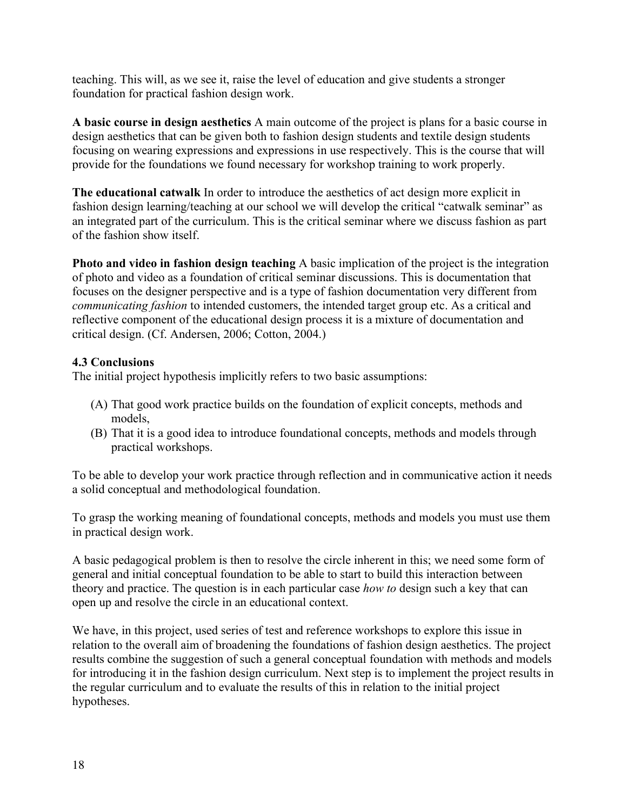teaching. This will, as we see it, raise the level of education and give students a stronger foundation for practical fashion design work.

**A basic course in design aesthetics** A main outcome of the project is plans for a basic course in design aesthetics that can be given both to fashion design students and textile design students focusing on wearing expressions and expressions in use respectively. This is the course that will provide for the foundations we found necessary for workshop training to work properly.

**The educational catwalk** In order to introduce the aesthetics of act design more explicit in fashion design learning/teaching at our school we will develop the critical "catwalk seminar" as an integrated part of the curriculum. This is the critical seminar where we discuss fashion as part of the fashion show itself.

**Photo and video in fashion design teaching** A basic implication of the project is the integration of photo and video as a foundation of critical seminar discussions. This is documentation that focuses on the designer perspective and is a type of fashion documentation very different from *communicating fashion* to intended customers, the intended target group etc. As a critical and reflective component of the educational design process it is a mixture of documentation and critical design. (Cf. Andersen, 2006; Cotton, 2004.)

## **4.3 Conclusions**

The initial project hypothesis implicitly refers to two basic assumptions:

- (A) That good work practice builds on the foundation of explicit concepts, methods and models,
- (B) That it is a good idea to introduce foundational concepts, methods and models through practical workshops.

To be able to develop your work practice through reflection and in communicative action it needs a solid conceptual and methodological foundation.

To grasp the working meaning of foundational concepts, methods and models you must use them in practical design work.

A basic pedagogical problem is then to resolve the circle inherent in this; we need some form of general and initial conceptual foundation to be able to start to build this interaction between theory and practice. The question is in each particular case *how to* design such a key that can open up and resolve the circle in an educational context.

We have, in this project, used series of test and reference workshops to explore this issue in relation to the overall aim of broadening the foundations of fashion design aesthetics. The project results combine the suggestion of such a general conceptual foundation with methods and models for introducing it in the fashion design curriculum. Next step is to implement the project results in the regular curriculum and to evaluate the results of this in relation to the initial project hypotheses.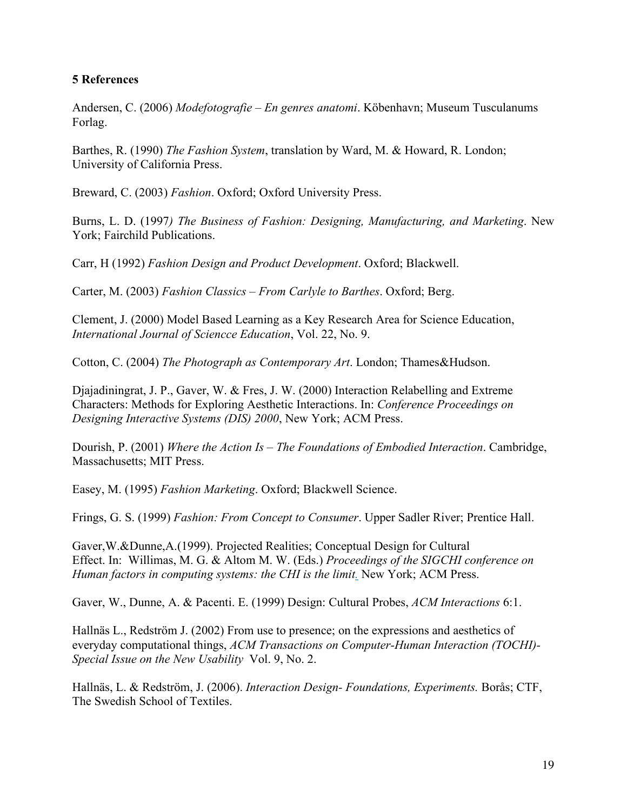### **5 References**

Andersen, C. (2006) *Modefotografie – En genres anatomi*. Köbenhavn; Museum Tusculanums Forlag.

Barthes, R. (1990) *The Fashion System*, translation by Ward, M. & Howard, R. London; University of California Press.

Breward, C. (2003) *Fashion*. Oxford; Oxford University Press.

Burns, L. D. (1997*) The Business of Fashion: Designing, Manufacturing, and Marketing*. New York; Fairchild Publications.

Carr, H (1992) *Fashion Design and Product Development*. Oxford; Blackwell.

Carter, M. (2003) *Fashion Classics – From Carlyle to Barthes*. Oxford; Berg.

Clement, J. (2000) Model Based Learning as a Key Research Area for Science Education, *International Journal of Sciencce Education*, Vol. 22, No. 9.

Cotton, C. (2004) *The Photograph as Contemporary Art*. London; Thames&Hudson.

Djajadiningrat, J. P., Gaver, W. & Fres, J. W. (2000) Interaction Relabelling and Extreme Characters: Methods for Exploring Aesthetic Interactions. In: *Conference Proceedings on Designing Interactive Systems (DIS) 2000*, New York; ACM Press.

Dourish, P. (2001) *Where the Action Is – The Foundations of Embodied Interaction*. Cambridge, Massachusetts; MIT Press.

Easey, M. (1995) *Fashion Marketing*. Oxford; Blackwell Science.

Frings, G. S. (1999) *Fashion: From Concept to Consumer*. Upper Sadler River; Prentice Hall.

Gaver,W.&Dunne,A.(1999). Projected Realities; Conceptual Design for Cultural Effect. In: Willimas, M. G. & Altom M. W. (Eds.) *Proceedings of the SIGCHI conference on Human factors in computing systems: the CHI is the limit.* New York; ACM Press.

Gaver, W., Dunne, A. & Pacenti. E. (1999) Design: Cultural Probes, *ACM Interactions* 6:1.

Hallnäs L., Redström J. (2002) From use to presence; on the expressions and aesthetics of everyday computational things, *ACM Transactions on Computer-Human Interaction (TOCHI)- Special Issue on the New Usability* Vol. 9, No. 2.

Hallnäs, L. & Redström, J. (2006). *Interaction Design- Foundations, Experiments.* Borås; CTF, The Swedish School of Textiles.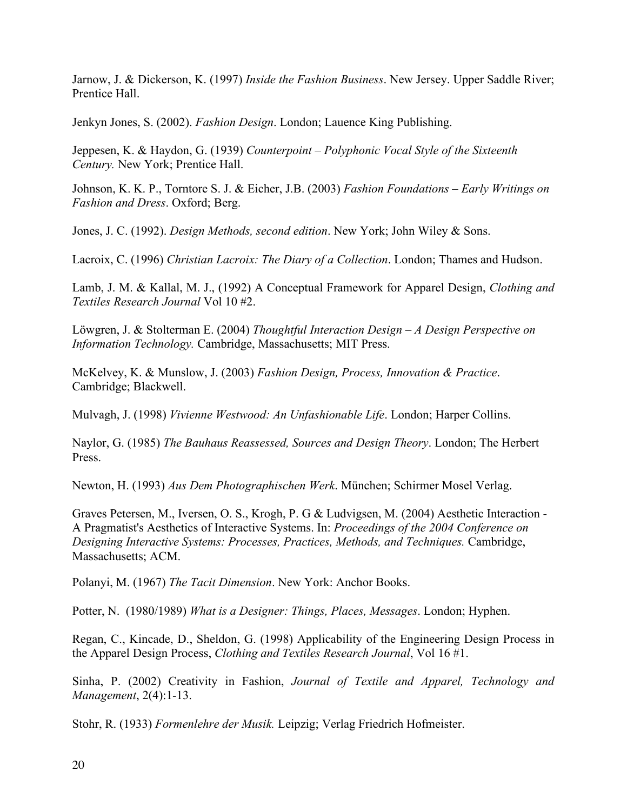Jarnow, J. & Dickerson, K. (1997) *Inside the Fashion Business*. New Jersey. Upper Saddle River; Prentice Hall.

Jenkyn Jones, S. (2002). *Fashion Design*. London; Lauence King Publishing.

Jeppesen, K. & Haydon, G. (1939) *Counterpoint – Polyphonic Vocal Style of the Sixteenth Century.* New York; Prentice Hall.

Johnson, K. K. P., Torntore S. J. & Eicher, J.B. (2003) *Fashion Foundations – Early Writings on Fashion and Dress*. Oxford; Berg.

Jones, J. C. (1992). *Design Methods, second edition*. New York; John Wiley & Sons.

Lacroix, C. (1996) *Christian Lacroix: The Diary of a Collection*. London; Thames and Hudson.

Lamb, J. M. & Kallal, M. J., (1992) A Conceptual Framework for Apparel Design, *Clothing and Textiles Research Journal* Vol 10 #2.

Löwgren, J. & Stolterman E. (2004) *Thoughtful Interaction Design – A Design Perspective on Information Technology.* Cambridge, Massachusetts; MIT Press.

McKelvey, K. & Munslow, J. (2003) *Fashion Design, Process, Innovation & Practice*. Cambridge; Blackwell.

Mulvagh, J. (1998) *Vivienne Westwood: An Unfashionable Life*. London; Harper Collins.

Naylor, G. (1985) *The Bauhaus Reassessed, Sources and Design Theory*. London; The Herbert Press.

Newton, H. (1993) *Aus Dem Photographischen Werk*. München; Schirmer Mosel Verlag.

Graves Petersen, M., Iversen, O. S., Krogh, P. G & Ludvigsen, M. (2004) Aesthetic Interaction - A Pragmatist's Aesthetics of Interactive Systems. In: *Proceedings of the 2004 Conference on Designing Interactive Systems: Processes, Practices, Methods, and Techniques.* Cambridge, Massachusetts; ACM.

Polanyi, M. (1967) *The Tacit Dimension*. New York: Anchor Books.

Potter, N. (1980/1989) *What is a Designer: Things, Places, Messages*. London; Hyphen.

Regan, C., Kincade, D., Sheldon, G. (1998) Applicability of the Engineering Design Process in the Apparel Design Process, *Clothing and Textiles Research Journal*, Vol 16 #1.

Sinha, P. (2002) Creativity in Fashion, *Journal of Textile and Apparel, Technology and Management*, 2(4):1-13.

Stohr, R. (1933) *Formenlehre der Musik.* Leipzig; Verlag Friedrich Hofmeister.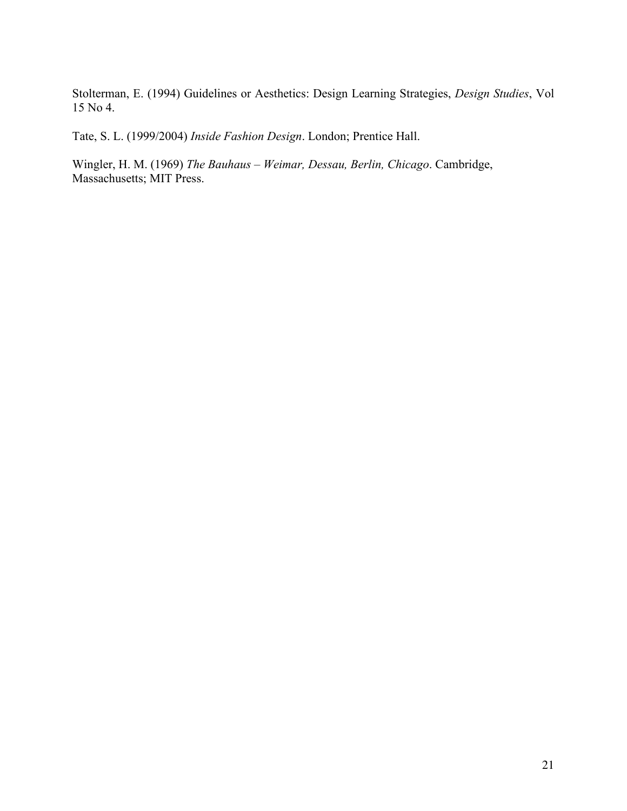Stolterman, E. (1994) Guidelines or Aesthetics: Design Learning Strategies, *Design Studies*, Vol 15 No 4.

Tate, S. L. (1999/2004) *Inside Fashion Design*. London; Prentice Hall.

Wingler, H. M. (1969) *The Bauhaus – Weimar, Dessau, Berlin, Chicago*. Cambridge, Massachusetts; MIT Press.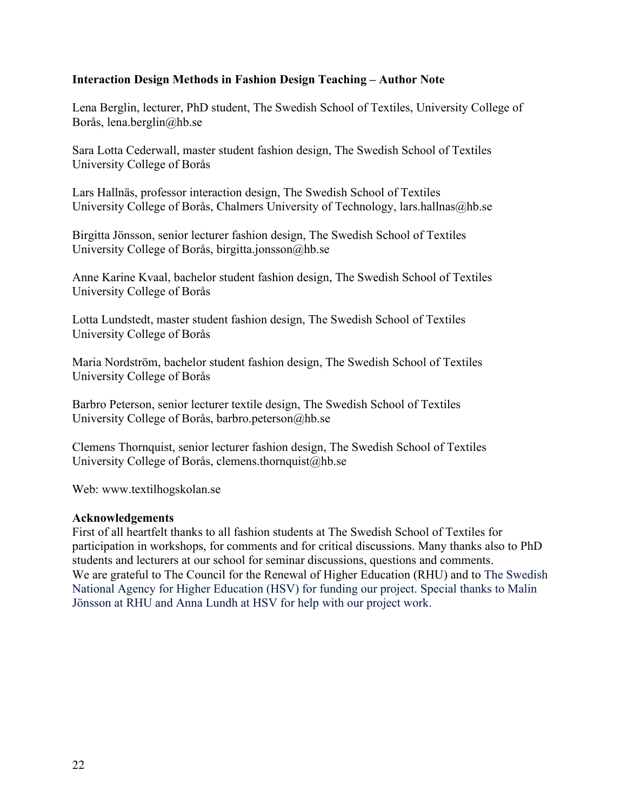### **Interaction Design Methods in Fashion Design Teaching – Author Note**

Lena Berglin, lecturer, PhD student, The Swedish School of Textiles, University College of Borås, lena.berglin@hb.se

Sara Lotta Cederwall, master student fashion design, The Swedish School of Textiles University College of Borås

Lars Hallnäs, professor interaction design, The Swedish School of Textiles University College of Borås, Chalmers University of Technology, lars.hallnas@hb.se

Birgitta Jönsson, senior lecturer fashion design, The Swedish School of Textiles University College of Borås, birgitta.jonsson@hb.se

Anne Karine Kvaal, bachelor student fashion design, The Swedish School of Textiles University College of Borås

Lotta Lundstedt, master student fashion design, The Swedish School of Textiles University College of Borås

Maria Nordström, bachelor student fashion design, The Swedish School of Textiles University College of Borås

Barbro Peterson, senior lecturer textile design, The Swedish School of Textiles University College of Borås, barbro.peterson@hb.se

Clemens Thornquist, senior lecturer fashion design, The Swedish School of Textiles University College of Borås, clemens.thornquist@hb.se

Web: www.textilhogskolan.se

#### **Acknowledgements**

First of all heartfelt thanks to all fashion students at The Swedish School of Textiles for participation in workshops, for comments and for critical discussions. Many thanks also to PhD students and lecturers at our school for seminar discussions, questions and comments. We are grateful to The Council for the Renewal of Higher Education (RHU) and to The Swedish National Agency for Higher Education (HSV) for funding our project. Special thanks to Malin Jönsson at RHU and Anna Lundh at HSV for help with our project work.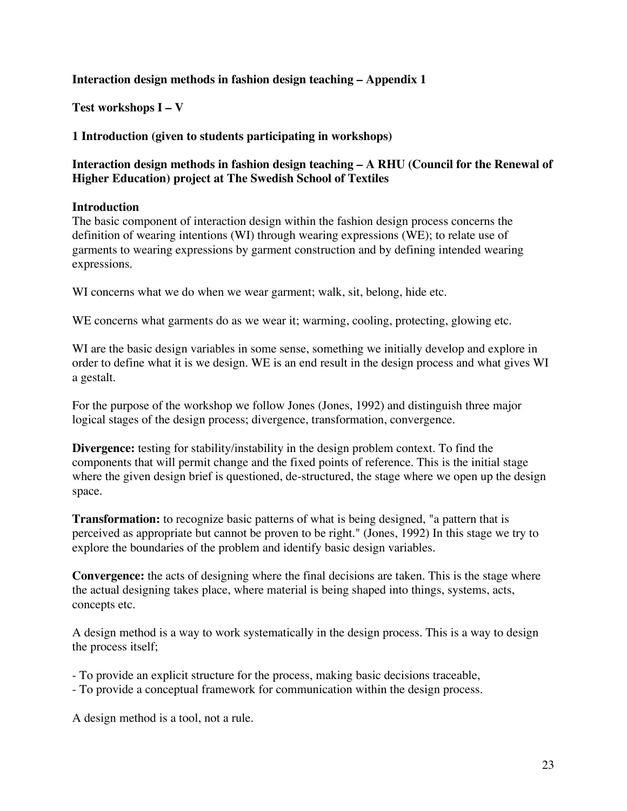### **Interaction design methods in fashion design teaching – Appendix 1**

**Test workshops I – V** 

### **1 Introduction (given to students participating in workshops)**

## **Interaction design methods in fashion design teaching – A RHU (Council for the Renewal of Higher Education) project at The Swedish School of Textiles**

#### **Introduction**

The basic component of interaction design within the fashion design process concerns the definition of wearing intentions (WI) through wearing expressions (WE); to relate use of garments to wearing expressions by garment construction and by defining intended wearing expressions.

WI concerns what we do when we wear garment; walk, sit, belong, hide etc.

WE concerns what garments do as we wear it; warming, cooling, protecting, glowing etc.

WI are the basic design variables in some sense, something we initially develop and explore in order to define what it is we design. WE is an end result in the design process and what gives WI a gestalt.

For the purpose of the workshop we follow Jones (Jones, 1992) and distinguish three major logical stages of the design process; divergence, transformation, convergence.

**Divergence:** testing for stability/instability in the design problem context. To find the components that will permit change and the fixed points of reference. This is the initial stage where the given design brief is questioned, de-structured, the stage where we open up the design space.

**Transformation:** to recognize basic patterns of what is being designed, "a pattern that is perceived as appropriate but cannot be proven to be right." (Jones, 1992) In this stage we try to explore the boundaries of the problem and identify basic design variables.

**Convergence:** the acts of designing where the final decisions are taken. This is the stage where the actual designing takes place, where material is being shaped into things, systems, acts, concepts etc.

A design method is a way to work systematically in the design process. This is a way to design the process itself;

- To provide an explicit structure for the process, making basic decisions traceable,

- To provide a conceptual framework for communication within the design process.

A design method is a tool, not a rule.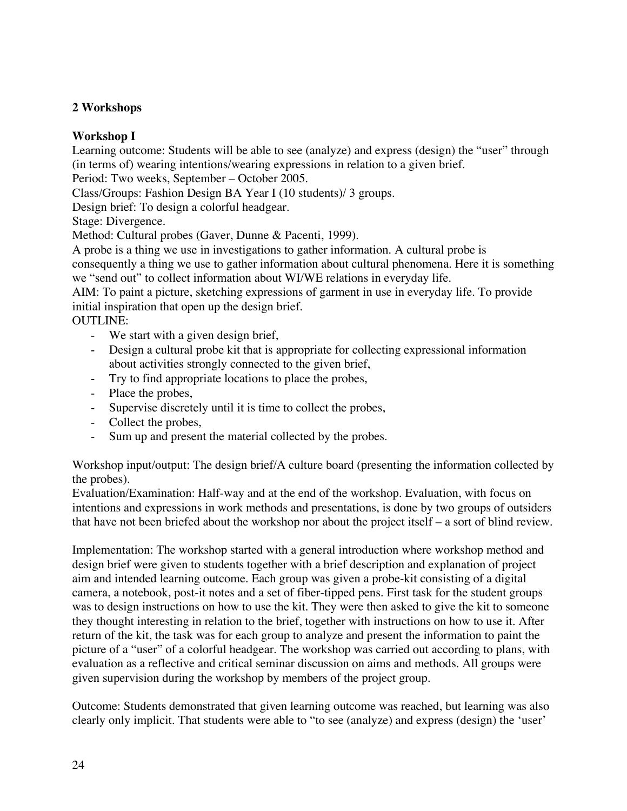## **2 Workshops**

## **Workshop I**

Learning outcome: Students will be able to see (analyze) and express (design) the "user" through (in terms of) wearing intentions/wearing expressions in relation to a given brief.

Period: Two weeks, September – October 2005.

Class/Groups: Fashion Design BA Year I (10 students)/ 3 groups.

Design brief: To design a colorful headgear.

Stage: Divergence.

Method: Cultural probes (Gaver, Dunne & Pacenti, 1999).

A probe is a thing we use in investigations to gather information. A cultural probe is

consequently a thing we use to gather information about cultural phenomena. Here it is something we "send out" to collect information about WI/WE relations in everyday life.

AIM: To paint a picture, sketching expressions of garment in use in everyday life. To provide initial inspiration that open up the design brief.

OUTLINE:

- We start with a given design brief,
- Design a cultural probe kit that is appropriate for collecting expressional information about activities strongly connected to the given brief,
- Try to find appropriate locations to place the probes,
- Place the probes,
- Supervise discretely until it is time to collect the probes,
- Collect the probes,
- Sum up and present the material collected by the probes.

Workshop input/output: The design brief/A culture board (presenting the information collected by the probes).

Evaluation/Examination: Half-way and at the end of the workshop. Evaluation, with focus on intentions and expressions in work methods and presentations, is done by two groups of outsiders that have not been briefed about the workshop nor about the project itself – a sort of blind review.

Implementation: The workshop started with a general introduction where workshop method and design brief were given to students together with a brief description and explanation of project aim and intended learning outcome. Each group was given a probe-kit consisting of a digital camera, a notebook, post-it notes and a set of fiber-tipped pens. First task for the student groups was to design instructions on how to use the kit. They were then asked to give the kit to someone they thought interesting in relation to the brief, together with instructions on how to use it. After return of the kit, the task was for each group to analyze and present the information to paint the picture of a "user" of a colorful headgear. The workshop was carried out according to plans, with evaluation as a reflective and critical seminar discussion on aims and methods. All groups were given supervision during the workshop by members of the project group.

Outcome: Students demonstrated that given learning outcome was reached, but learning was also clearly only implicit. That students were able to "to see (analyze) and express (design) the 'user'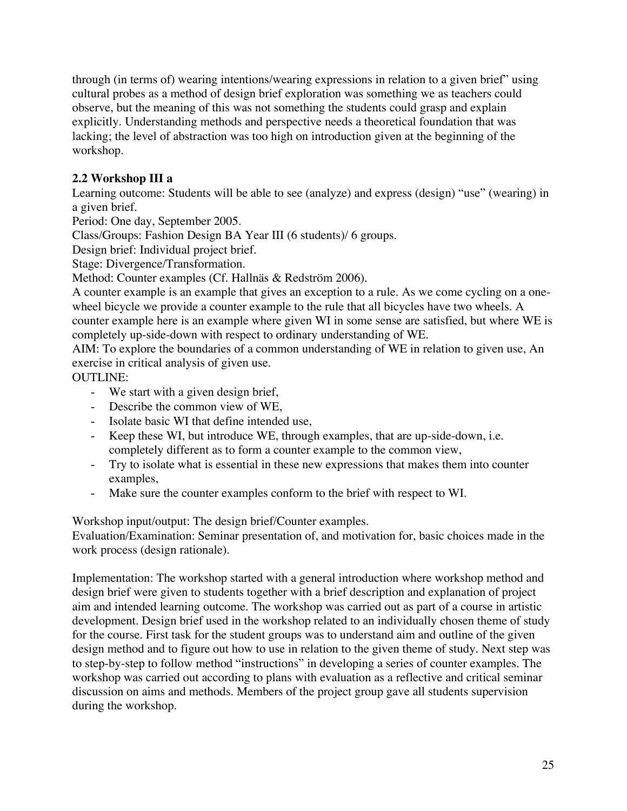through (in terms of) wearing intentions/wearing expressions in relation to a given brief" using cultural probes as a method of design brief exploration was something we as teachers could observe, but the meaning of this was not something the students could grasp and explain explicitly. Understanding methods and perspective needs a theoretical foundation that was lacking; the level of abstraction was too high on introduction given at the beginning of the workshop.

# **2.2 Workshop III a**

Learning outcome: Students will be able to see (analyze) and express (design) "use" (wearing) in a given brief.

Period: One day, September 2005.

Class/Groups: Fashion Design BA Year III (6 students)/ 6 groups.

Design brief: Individual project brief.

Stage: Divergence/Transformation.

Method: Counter examples (Cf. Hallnäs & Redström 2006).

A counter example is an example that gives an exception to a rule. As we come cycling on a onewheel bicycle we provide a counter example to the rule that all bicycles have two wheels. A counter example here is an example where given WI in some sense are satisfied, but where WE is completely up-side-down with respect to ordinary understanding of WE.

AIM: To explore the boundaries of a common understanding of WE in relation to given use, An exercise in critical analysis of given use.

OUTLINE:

- We start with a given design brief,
- Describe the common view of WE,
- Isolate basic WI that define intended use,
- Keep these WI, but introduce WE, through examples, that are up-side-down, i.e. completely different as to form a counter example to the common view,
- Try to isolate what is essential in these new expressions that makes them into counter examples,
- Make sure the counter examples conform to the brief with respect to WI.

Workshop input/output: The design brief/Counter examples.

Evaluation/Examination: Seminar presentation of, and motivation for, basic choices made in the work process (design rationale).

Implementation: The workshop started with a general introduction where workshop method and design brief were given to students together with a brief description and explanation of project aim and intended learning outcome. The workshop was carried out as part of a course in artistic development. Design brief used in the workshop related to an individually chosen theme of study for the course. First task for the student groups was to understand aim and outline of the given design method and to figure out how to use in relation to the given theme of study. Next step was to step-by-step to follow method "instructions" in developing a series of counter examples. The workshop was carried out according to plans with evaluation as a reflective and critical seminar discussion on aims and methods. Members of the project group gave all students supervision during the workshop.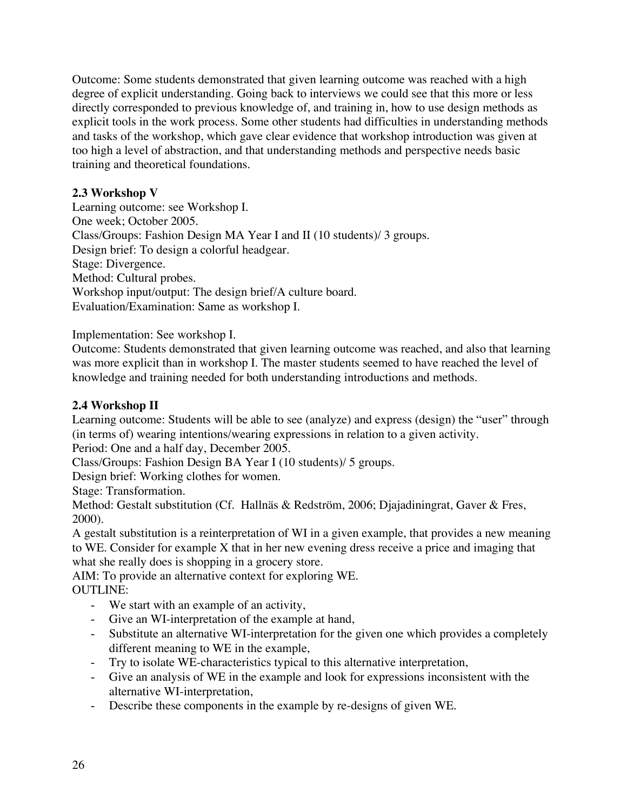Outcome: Some students demonstrated that given learning outcome was reached with a high degree of explicit understanding. Going back to interviews we could see that this more or less directly corresponded to previous knowledge of, and training in, how to use design methods as explicit tools in the work process. Some other students had difficulties in understanding methods and tasks of the workshop, which gave clear evidence that workshop introduction was given at too high a level of abstraction, and that understanding methods and perspective needs basic training and theoretical foundations.

## **2.3 Workshop V**

Learning outcome: see Workshop I. One week; October 2005. Class/Groups: Fashion Design MA Year I and II (10 students)/ 3 groups. Design brief: To design a colorful headgear. Stage: Divergence. Method: Cultural probes. Workshop input/output: The design brief/A culture board. Evaluation/Examination: Same as workshop I.

Implementation: See workshop I.

Outcome: Students demonstrated that given learning outcome was reached, and also that learning was more explicit than in workshop I. The master students seemed to have reached the level of knowledge and training needed for both understanding introductions and methods.

## **2.4 Workshop II**

Learning outcome: Students will be able to see (analyze) and express (design) the "user" through (in terms of) wearing intentions/wearing expressions in relation to a given activity.

Period: One and a half day, December 2005.

Class/Groups: Fashion Design BA Year I (10 students)/ 5 groups.

Design brief: Working clothes for women.

Stage: Transformation.

Method: Gestalt substitution (Cf. Hallnäs & Redström, 2006; Djajadiningrat, Gaver & Fres, 2000).

A gestalt substitution is a reinterpretation of WI in a given example, that provides a new meaning to WE. Consider for example X that in her new evening dress receive a price and imaging that what she really does is shopping in a grocery store.

AIM: To provide an alternative context for exploring WE. OUTLINE:

- We start with an example of an activity,
- Give an WI-interpretation of the example at hand,
- Substitute an alternative WI-interpretation for the given one which provides a completely different meaning to WE in the example,
- Try to isolate WE-characteristics typical to this alternative interpretation,
- Give an analysis of WE in the example and look for expressions inconsistent with the alternative WI-interpretation,
- Describe these components in the example by re-designs of given WE.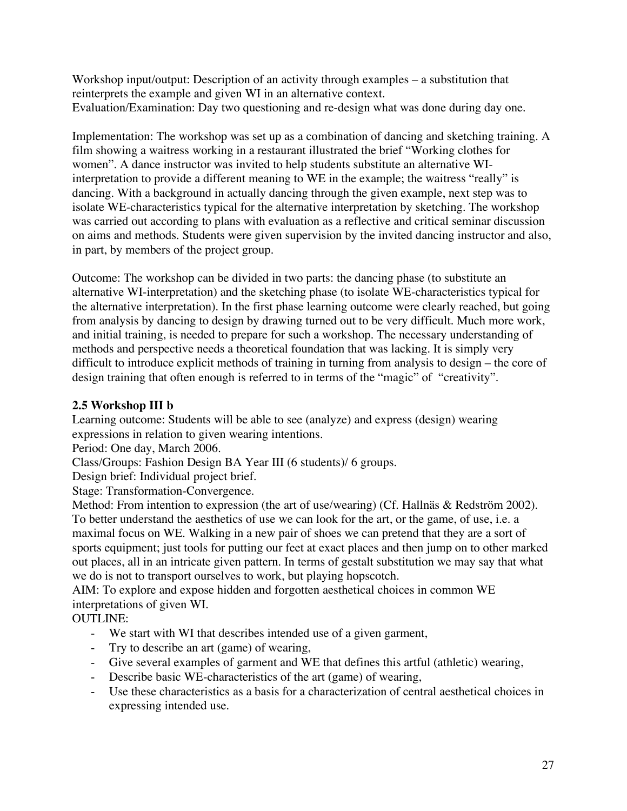Workshop input/output: Description of an activity through examples – a substitution that reinterprets the example and given WI in an alternative context. Evaluation/Examination: Day two questioning and re-design what was done during day one.

Implementation: The workshop was set up as a combination of dancing and sketching training. A film showing a waitress working in a restaurant illustrated the brief "Working clothes for women". A dance instructor was invited to help students substitute an alternative WIinterpretation to provide a different meaning to WE in the example; the waitress "really" is dancing. With a background in actually dancing through the given example, next step was to isolate WE-characteristics typical for the alternative interpretation by sketching. The workshop was carried out according to plans with evaluation as a reflective and critical seminar discussion on aims and methods. Students were given supervision by the invited dancing instructor and also, in part, by members of the project group.

Outcome: The workshop can be divided in two parts: the dancing phase (to substitute an alternative WI-interpretation) and the sketching phase (to isolate WE-characteristics typical for the alternative interpretation). In the first phase learning outcome were clearly reached, but going from analysis by dancing to design by drawing turned out to be very difficult. Much more work, and initial training, is needed to prepare for such a workshop. The necessary understanding of methods and perspective needs a theoretical foundation that was lacking. It is simply very difficult to introduce explicit methods of training in turning from analysis to design – the core of design training that often enough is referred to in terms of the "magic" of "creativity".

# **2.5 Workshop III b**

Learning outcome: Students will be able to see (analyze) and express (design) wearing expressions in relation to given wearing intentions.

Period: One day, March 2006.

Class/Groups: Fashion Design BA Year III (6 students)/ 6 groups.

Design brief: Individual project brief.

Stage: Transformation-Convergence.

Method: From intention to expression (the art of use/wearing) (Cf. Hallnäs & Redström 2002). To better understand the aesthetics of use we can look for the art, or the game, of use, i.e. a maximal focus on WE. Walking in a new pair of shoes we can pretend that they are a sort of sports equipment; just tools for putting our feet at exact places and then jump on to other marked out places, all in an intricate given pattern. In terms of gestalt substitution we may say that what we do is not to transport ourselves to work, but playing hopscotch.

AIM: To explore and expose hidden and forgotten aesthetical choices in common WE interpretations of given WI.

OUTLINE:

- We start with WI that describes intended use of a given garment,
- Try to describe an art (game) of wearing,
- Give several examples of garment and WE that defines this artful (athletic) wearing,
- Describe basic WE-characteristics of the art (game) of wearing,
- Use these characteristics as a basis for a characterization of central aesthetical choices in expressing intended use.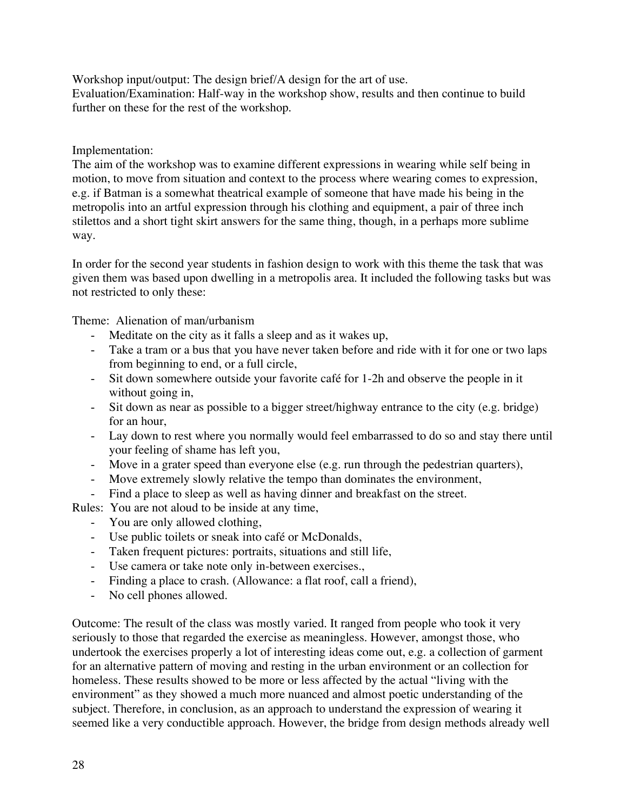Workshop input/output: The design brief/A design for the art of use. Evaluation/Examination: Half-way in the workshop show, results and then continue to build further on these for the rest of the workshop.

## Implementation:

The aim of the workshop was to examine different expressions in wearing while self being in motion, to move from situation and context to the process where wearing comes to expression, e.g. if Batman is a somewhat theatrical example of someone that have made his being in the metropolis into an artful expression through his clothing and equipment, a pair of three inch stilettos and a short tight skirt answers for the same thing, though, in a perhaps more sublime way.

In order for the second year students in fashion design to work with this theme the task that was given them was based upon dwelling in a metropolis area. It included the following tasks but was not restricted to only these:

Theme: Alienation of man/urbanism

- Meditate on the city as it falls a sleep and as it wakes up,
- Take a tram or a bus that you have never taken before and ride with it for one or two laps from beginning to end, or a full circle,
- Sit down somewhere outside your favorite café for 1-2h and observe the people in it without going in,
- Sit down as near as possible to a bigger street/highway entrance to the city (e.g. bridge) for an hour,
- Lay down to rest where you normally would feel embarrassed to do so and stay there until your feeling of shame has left you,
- Move in a grater speed than everyone else (e.g. run through the pedestrian quarters),
- Move extremely slowly relative the tempo than dominates the environment,
- Find a place to sleep as well as having dinner and breakfast on the street.

Rules: You are not aloud to be inside at any time,

- You are only allowed clothing,
- Use public toilets or sneak into café or McDonalds,
- Taken frequent pictures: portraits, situations and still life,
- Use camera or take note only in-between exercises.,
- Finding a place to crash. (Allowance: a flat roof, call a friend),
- No cell phones allowed.

Outcome: The result of the class was mostly varied. It ranged from people who took it very seriously to those that regarded the exercise as meaningless. However, amongst those, who undertook the exercises properly a lot of interesting ideas come out, e.g. a collection of garment for an alternative pattern of moving and resting in the urban environment or an collection for homeless. These results showed to be more or less affected by the actual "living with the environment" as they showed a much more nuanced and almost poetic understanding of the subject. Therefore, in conclusion, as an approach to understand the expression of wearing it seemed like a very conductible approach. However, the bridge from design methods already well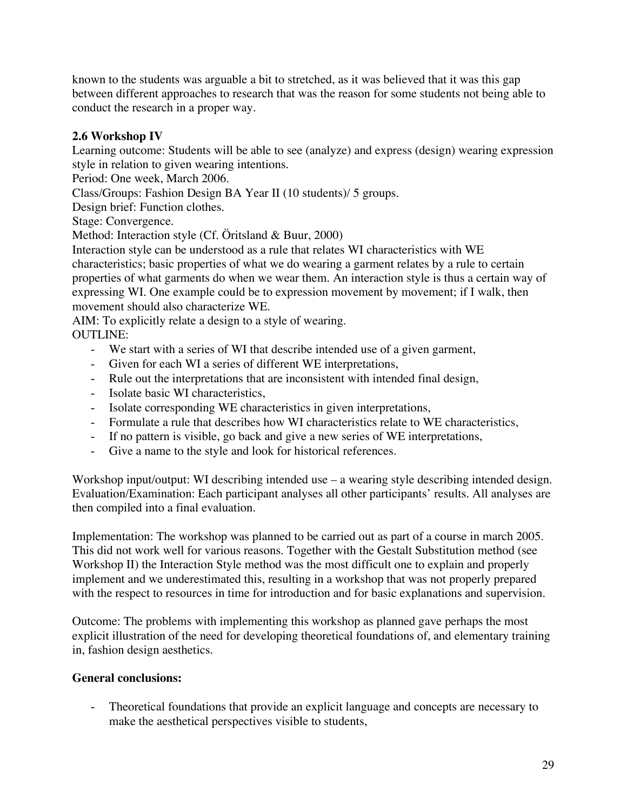known to the students was arguable a bit to stretched, as it was believed that it was this gap between different approaches to research that was the reason for some students not being able to conduct the research in a proper way.

# **2.6 Workshop IV**

Learning outcome: Students will be able to see (analyze) and express (design) wearing expression style in relation to given wearing intentions.

Period: One week, March 2006.

Class/Groups: Fashion Design BA Year II (10 students)/ 5 groups.

Design brief: Function clothes.

Stage: Convergence.

Method: Interaction style (Cf. Öritsland & Buur, 2000)

Interaction style can be understood as a rule that relates WI characteristics with WE characteristics; basic properties of what we do wearing a garment relates by a rule to certain properties of what garments do when we wear them. An interaction style is thus a certain way of expressing WI. One example could be to expression movement by movement; if I walk, then movement should also characterize WE.

AIM: To explicitly relate a design to a style of wearing. OUTLINE:

- We start with a series of WI that describe intended use of a given garment,
- Given for each WI a series of different WE interpretations,
- Rule out the interpretations that are inconsistent with intended final design,
- Isolate basic WI characteristics,
- Isolate corresponding WE characteristics in given interpretations,
- Formulate a rule that describes how WI characteristics relate to WE characteristics,
- If no pattern is visible, go back and give a new series of WE interpretations,
- Give a name to the style and look for historical references.

Workshop input/output: WI describing intended use – a wearing style describing intended design. Evaluation/Examination: Each participant analyses all other participants' results. All analyses are then compiled into a final evaluation.

Implementation: The workshop was planned to be carried out as part of a course in march 2005. This did not work well for various reasons. Together with the Gestalt Substitution method (see Workshop II) the Interaction Style method was the most difficult one to explain and properly implement and we underestimated this, resulting in a workshop that was not properly prepared with the respect to resources in time for introduction and for basic explanations and supervision.

Outcome: The problems with implementing this workshop as planned gave perhaps the most explicit illustration of the need for developing theoretical foundations of, and elementary training in, fashion design aesthetics.

## **General conclusions:**

Theoretical foundations that provide an explicit language and concepts are necessary to make the aesthetical perspectives visible to students,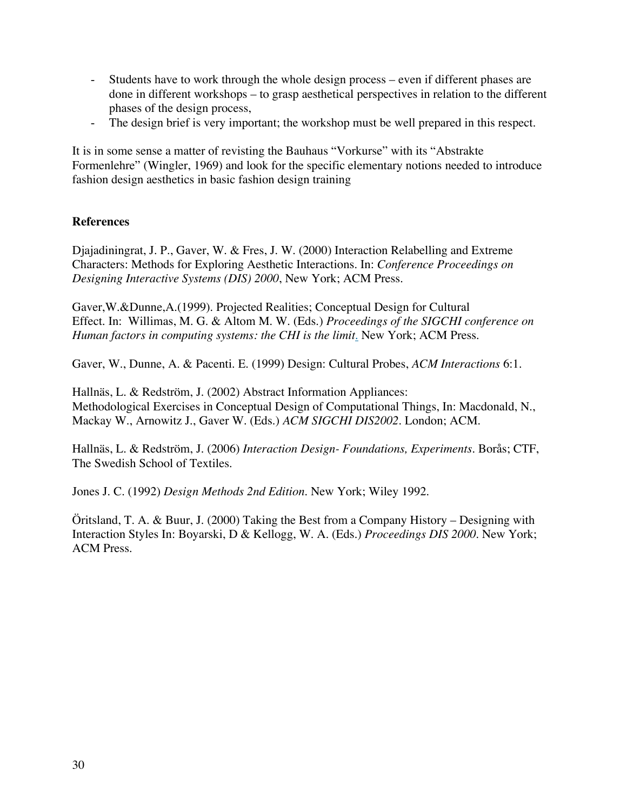- Students have to work through the whole design process even if different phases are done in different workshops – to grasp aesthetical perspectives in relation to the different phases of the design process,
- The design brief is very important; the workshop must be well prepared in this respect.

It is in some sense a matter of revisting the Bauhaus "Vorkurse" with its "Abstrakte Formenlehre" (Wingler, 1969) and look for the specific elementary notions needed to introduce fashion design aesthetics in basic fashion design training

## **References**

Djajadiningrat, J. P., Gaver, W. & Fres, J. W. (2000) Interaction Relabelling and Extreme Characters: Methods for Exploring Aesthetic Interactions. In: *Conference Proceedings on Designing Interactive Systems (DIS) 2000*, New York; ACM Press.

Gaver,W.&Dunne,A.(1999). Projected Realities; Conceptual Design for Cultural Effect. In: Willimas, M. G. & Altom M. W. (Eds.) *Proceedings of the SIGCHI conference on Human factors in computing systems: the CHI is the limit.* New York; ACM Press.

Gaver, W., Dunne, A. & Pacenti. E. (1999) Design: Cultural Probes, *ACM Interactions* 6:1.

Hallnäs, L. & Redström, J. (2002) Abstract Information Appliances: Methodological Exercises in Conceptual Design of Computational Things, In: Macdonald, N., Mackay W., Arnowitz J., Gaver W. (Eds.) *ACM SIGCHI DIS2002.* London; ACM.

Hallnäs, L. & Redström, J. (2006) *Interaction Design- Foundations, Experiments.* Borås; CTF, The Swedish School of Textiles.

Jones J. C. (1992) *Design Methods 2nd Edition*. New York; Wiley 1992.

Öritsland, T. A. & Buur, J. (2000) Taking the Best from a Company History – Designing with Interaction Styles In: Boyarski, D & Kellogg, W. A. (Eds.) *Proceedings DIS 2000*. New York; ACM Press.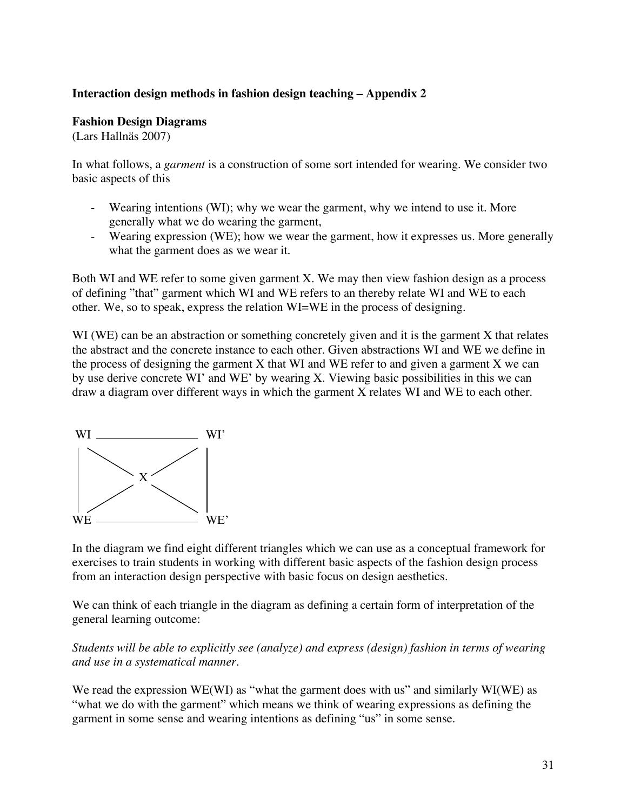#### **Interaction design methods in fashion design teaching – Appendix 2**

#### **Fashion Design Diagrams**

(Lars Hallnäs 2007)

In what follows, a *garment* is a construction of some sort intended for wearing. We consider two basic aspects of this

- Wearing intentions (WI); why we wear the garment, why we intend to use it. More generally what we do wearing the garment,
- Wearing expression (WE); how we wear the garment, how it expresses us. More generally what the garment does as we wear it.

Both WI and WE refer to some given garment X. We may then view fashion design as a process of defining "that" garment which WI and WE refers to an thereby relate WI and WE to each other. We, so to speak, express the relation WI=WE in the process of designing.

WI (WE) can be an abstraction or something concretely given and it is the garment X that relates the abstract and the concrete instance to each other. Given abstractions WI and WE we define in the process of designing the garment X that WI and WE refer to and given a garment X we can by use derive concrete WI' and WE' by wearing X. Viewing basic possibilities in this we can draw a diagram over different ways in which the garment X relates WI and WE to each other.



In the diagram we find eight different triangles which we can use as a conceptual framework for exercises to train students in working with different basic aspects of the fashion design process from an interaction design perspective with basic focus on design aesthetics.

We can think of each triangle in the diagram as defining a certain form of interpretation of the general learning outcome:

*Students will be able to explicitly see (analyze) and express (design) fashion in terms of wearing and use in a systematical manner.* 

We read the expression WE(WI) as "what the garment does with us" and similarly WI(WE) as "what we do with the garment" which means we think of wearing expressions as defining the garment in some sense and wearing intentions as defining "us" in some sense.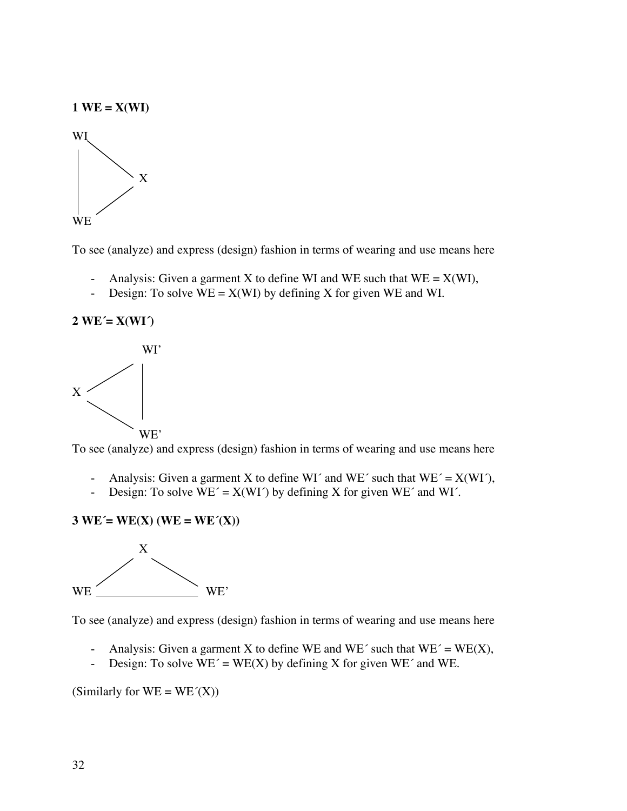

To see (analyze) and express (design) fashion in terms of wearing and use means here

- Analysis: Given a garment X to define WI and WE such that  $WE = X(WI)$ ,
- Design: To solve  $WE = X(WI)$  by defining X for given WE and WI.

**2 WE´= X(WI´)**



To see (analyze) and express (design) fashion in terms of wearing and use means here

- Analysis: Given a garment X to define WI´ and WE´ such that  $WE' = X(WI')$ ,
- Design: To solve  $\overline{WE'} = X(WI')$  by defining X for given  $WE'$  and WI'.

$$
3 WE' = WE(X) (WE = WE'(X))
$$



To see (analyze) and express (design) fashion in terms of wearing and use means here

- Analysis: Given a garment X to define WE and WE' such that  $WE' = WE(X)$ ,
- Design: To solve  $WE' = WE(X)$  by defining X for given  $WE'$  and WE.

(Similarly for  $WE = WE'(X)$ )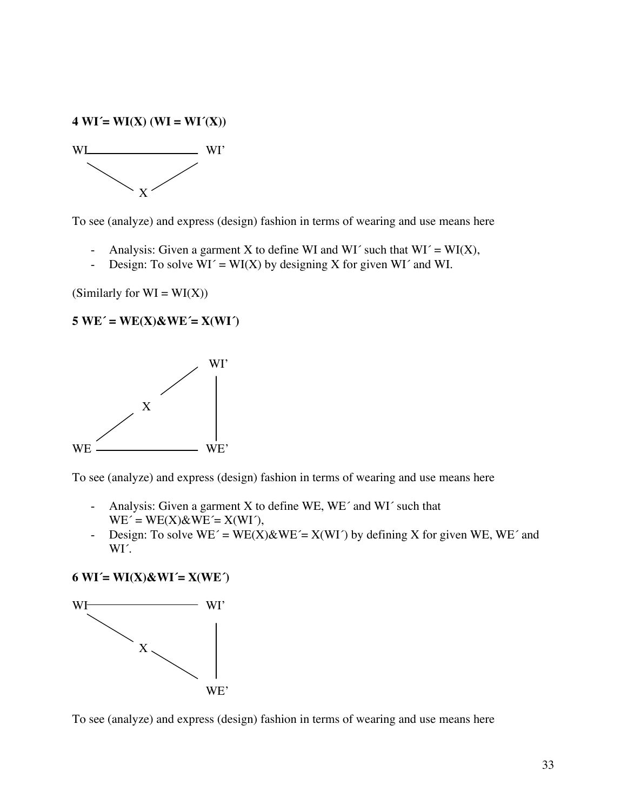#### **4 WI´= WI(X) (WI = WI´(X))**



To see (analyze) and express (design) fashion in terms of wearing and use means here

- Analysis: Given a garment X to define WI and WI´ such that  $WI' = WI(X)$ ,
- Design: To solve  $WI' = WI(X)$  by designing X for given WI' and WI.

(Similarly for  $WI = WI(X)$ )

#### $5 WE' = WE(X)$ &WE $= X(WI')$



To see (analyze) and express (design) fashion in terms of wearing and use means here

- Analysis: Given a garment X to define WE, WE´ and WI´ such that  $WE' = WE(X) \& WE' = X(WI'),$
- Design: To solve  $WE' = WE(X)\&WE' = X(WI')$  by defining X for given WE, WE' and WI´.

**6 WI´= WI(X)&WI´= X(WE´)** 



To see (analyze) and express (design) fashion in terms of wearing and use means here